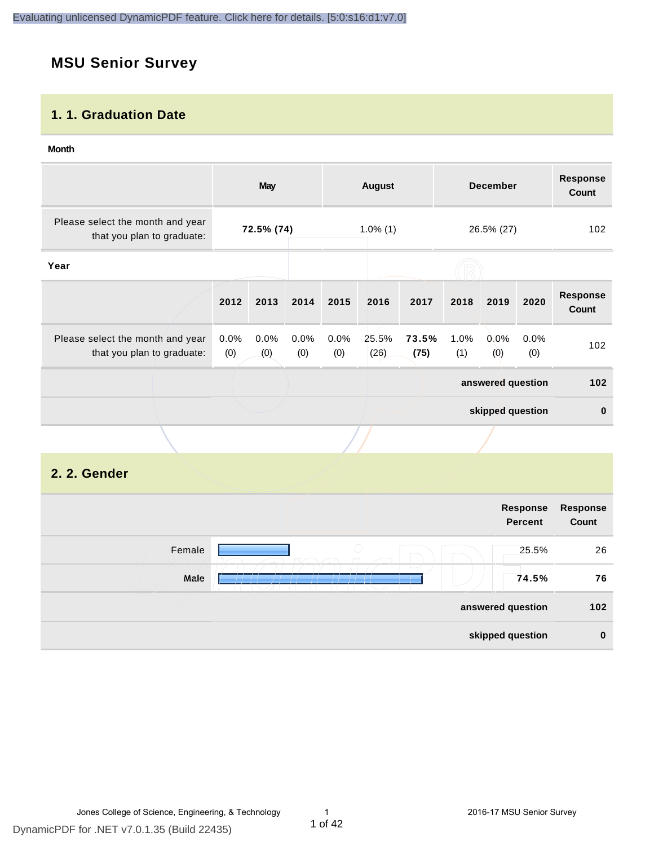# **MSU Senior Survey**

#### **1. 1. Graduation Date**

#### **Month**

|                                                                | <b>May</b>        |             |             | <b>August</b> |               | <b>December</b> |             | <b>Response</b><br><b>Count</b> |             |                                 |
|----------------------------------------------------------------|-------------------|-------------|-------------|---------------|---------------|-----------------|-------------|---------------------------------|-------------|---------------------------------|
| Please select the month and year<br>that you plan to graduate: | 72.5% (74)        |             | $1.0\%$ (1) |               |               | 26.5% (27)      |             | 102                             |             |                                 |
| Year                                                           |                   |             |             |               |               |                 |             |                                 |             |                                 |
|                                                                | 2012              | 2013        | 2014        | 2015          | 2016          | 2017            | 2018        | 2019                            | 2020        | <b>Response</b><br><b>Count</b> |
| Please select the month and year<br>that you plan to graduate: | 0.0%<br>(0)       | 0.0%<br>(0) | 0.0%<br>(0) | 0.0%<br>(0)   | 25.5%<br>(26) | 73.5%<br>(75)   | 1.0%<br>(1) | 0.0%<br>(0)                     | 0.0%<br>(0) | 102                             |
|                                                                | answered question |             |             | 102           |               |                 |             |                                 |             |                                 |
|                                                                |                   |             |             |               |               |                 |             | skipped question                |             | $\bf{0}$                        |
|                                                                |                   |             |             |               |               |                 |             |                                 |             |                                 |
| 2. 2. Gender                                                   |                   |             |             |               |               |                 |             |                                 |             |                                 |

|        | Response<br><b>Percent</b> | <b>Response</b><br>Count |
|--------|----------------------------|--------------------------|
| Female | $\bigcirc$<br>25.5%        | 26                       |
| Male   | 74.5%                      | 76                       |
|        | answered question          | $102$                    |
|        | skipped question           | $\bf{0}$                 |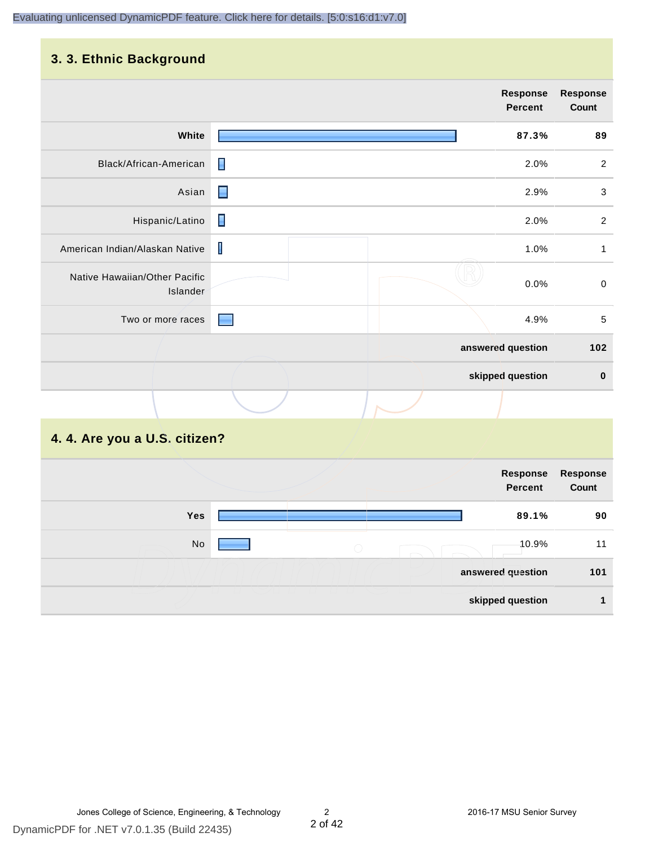#### **3. 3. Ethnic Background**

|                                           | <b>Response</b><br><b>Percent</b> | <b>Response</b><br>Count |
|-------------------------------------------|-----------------------------------|--------------------------|
| White                                     | 87.3%                             | 89                       |
| Black/African-American                    | П<br>2.0%                         | $\sqrt{2}$               |
| Asian                                     | $\blacksquare$<br>2.9%            | $\sqrt{3}$               |
| Hispanic/Latino                           | П<br>2.0%                         | $\overline{2}$           |
| American Indian/Alaskan Native            | $\mathbf{I}$<br>1.0%              | $\mathbf{1}$             |
| Native Hawaiian/Other Pacific<br>Islander | 0.0%                              | $\mathbf 0$              |
| Two or more races                         | 4.9%                              | 5                        |
|                                           | answered question                 | 102                      |
|                                           | skipped question                  | $\bf{0}$                 |
|                                           |                                   |                          |

# **4. 4. Are you a U.S. citizen?**

| Response<br>Count | Response<br><b>Percent</b> |            |            |
|-------------------|----------------------------|------------|------------|
| 90                | 89.1%                      |            | <b>Yes</b> |
| 11                | -10.9%                     | $\bigcirc$ | No         |
| 101               | answered question          |            |            |
|                   | skipped question           |            |            |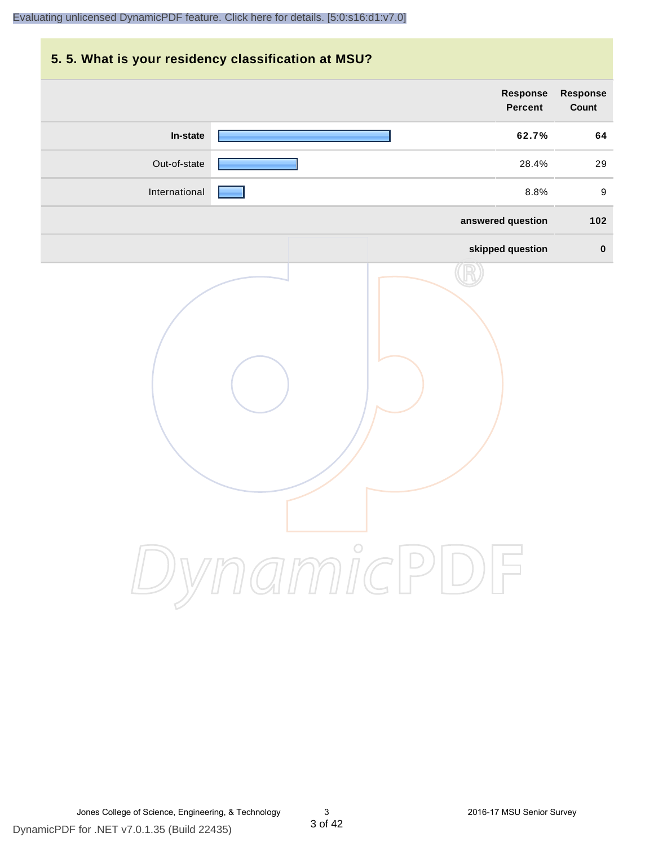# **5. 5. What is your residency classification at MSU? Response Response Percent Count In-state 62.7% 64** Out-of-state **28.4%** 29 International **Party Construction** and the set of the set of the set of the set of the set of the set of the set o **answered question 102 skipped question 0** DynamicPDF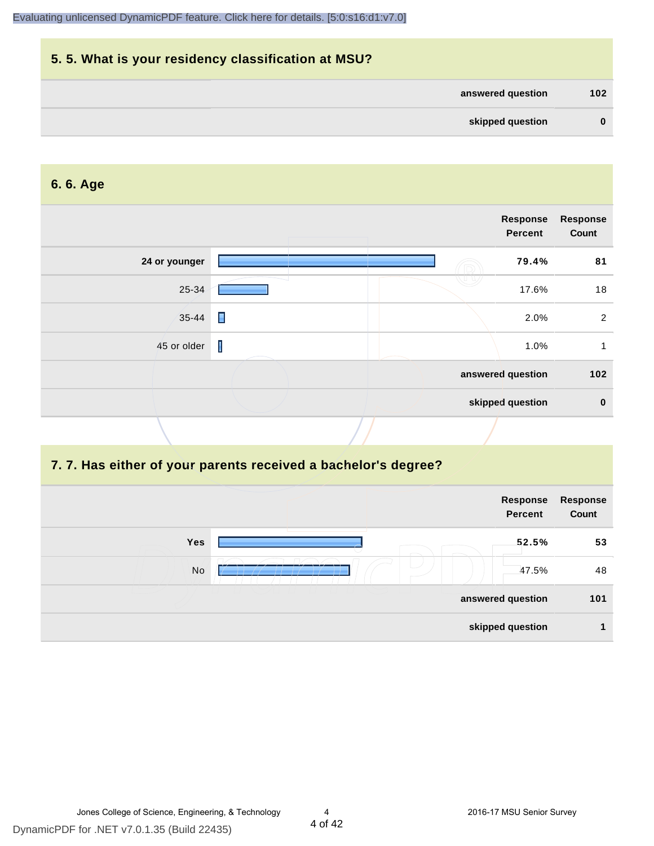|          |                   | 5.5. What is your residency classification at MSU? |
|----------|-------------------|----------------------------------------------------|
| 102      | answered question |                                                    |
| $\bf{0}$ | skipped question  |                                                    |

#### **6. 6. Age**

|               |                | Response<br><b>Percent</b> | <b>Response</b><br>Count |
|---------------|----------------|----------------------------|--------------------------|
| 24 or younger |                | 79.4%                      | 81                       |
| 25-34         |                | 17.6%                      | 18                       |
| $35 - 44$     | $\blacksquare$ | 2.0%                       | 2                        |
| 45 or older   | $\mathbf{I}$   | 1.0%                       |                          |
|               |                | answered question          | 102                      |
|               |                | skipped question           | $\mathbf 0$              |

#### **7. 7. Has either of your parents received a bachelor's degree?**

|     | Response<br><b>Percent</b> | Response<br>Count |
|-----|----------------------------|-------------------|
| Yes | 52.5%                      | 53                |
| No  | 47.5%                      | 48                |
|     | answered question          | 101               |
|     | skipped question           |                   |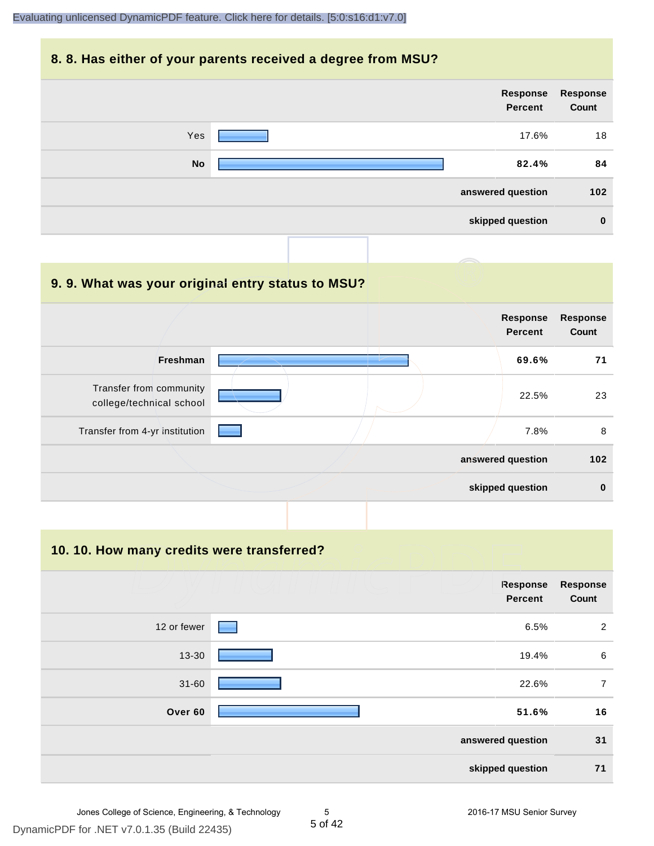#### **8. 8. Has either of your parents received a degree from MSU?**



| 9.9. What was your original entry status to MSU?    |                                   |                          |
|-----------------------------------------------------|-----------------------------------|--------------------------|
|                                                     | <b>Response</b><br><b>Percent</b> | <b>Response</b><br>Count |
| <b>Freshman</b>                                     | 69.6%                             | 71                       |
| Transfer from community<br>college/technical school | 22.5%                             | 23                       |
| Transfer from 4-yr institution                      | 7.8%                              | 8                        |
|                                                     | answered question                 | 102                      |
|                                                     | skipped question                  | $\bf{0}$                 |

**10. 10. How many credits were transferred?**

|             | Response<br><b>Percent</b> | <b>Response</b><br>Count |
|-------------|----------------------------|--------------------------|
| 12 or fewer | 6.5%<br>a sa               | 2                        |
| 13-30       | 19.4%                      | $\,6\,$                  |
| $31 - 60$   | 22.6%                      | $\overline{7}$           |
| Over 60     | 51.6%                      | 16                       |
|             | answered question          | 31                       |
|             | skipped question           | 71                       |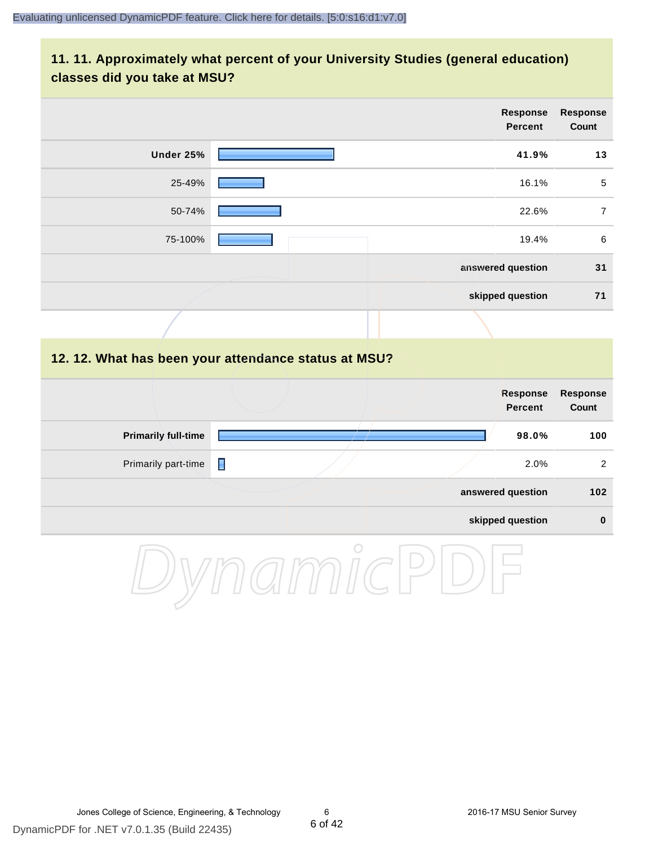#### **11. 11. Approximately what percent of your University Studies (general education) classes did you take at MSU?**

| <b>Response</b><br>Count | Response<br><b>Percent</b> |           |
|--------------------------|----------------------------|-----------|
| 13                       | 41.9%                      | Under 25% |
| $\overline{5}$           | 16.1%                      | 25-49%    |
| 7                        | 22.6%                      | 50-74%    |
| 6                        | 19.4%                      | 75-100%   |
| 31                       | answered question          |           |
| 71                       | skipped question           |           |
|                          |                            |           |

#### **12. 12. What has been your attendance status at MSU?**

|                            |   |  | Response<br>Percent | <b>Response</b><br>Count |
|----------------------------|---|--|---------------------|--------------------------|
| <b>Primarily full-time</b> |   |  | 98.0%               | 100                      |
| Primarily part-time        | П |  | 2.0%                | 2                        |
|                            |   |  | answered question   | 102                      |
|                            |   |  | skipped question    | $\bf{0}$                 |

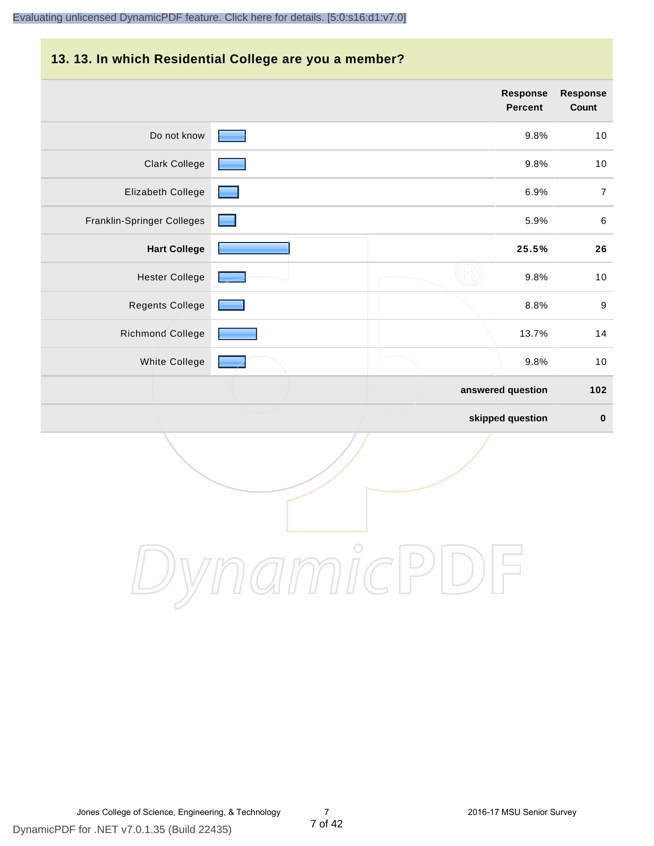#### **13. 13. In which Residential College are you a member?**

|                            |  | Response<br>Percent | <b>Response</b><br>Count |
|----------------------------|--|---------------------|--------------------------|
| Do not know                |  | 9.8%                | 10                       |
| <b>Clark College</b>       |  | 9.8%                | 10                       |
| Elizabeth College          |  | 6.9%                | $\overline{7}$           |
| Franklin-Springer Colleges |  | 5.9%                | $\,6\,$                  |
| <b>Hart College</b>        |  | 25.5%               | 26                       |
| <b>Hester College</b>      |  | 9.8%                | $10$                     |
| <b>Regents College</b>     |  | 8.8%                | $\boldsymbol{9}$         |
| <b>Richmond College</b>    |  | 13.7%               | 14                       |
| White College              |  | 9.8%                | 10                       |
|                            |  | answered question   | 102                      |
|                            |  | skipped question    | $\pmb{0}$                |

DynamicPDF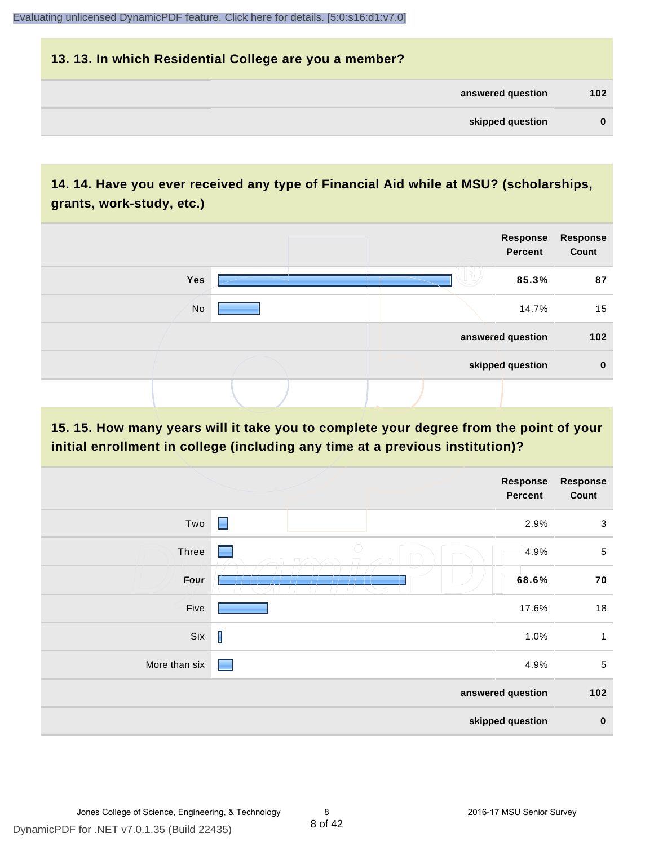# **13. 13. In which Residential College are you a member? answered question 102 skipped question 0**

# **14. 14. Have you ever received any type of Financial Aid while at MSU? (scholarships, grants, work-study, etc.)**



**15. 15. How many years will it take you to complete your degree from the point of your initial enrollment in college (including any time at a previous institution)?**

|               |                                                                                                                                                                                                                                                                                                                                                                                  | <b>Response</b><br>Percent | <b>Response</b><br>Count |
|---------------|----------------------------------------------------------------------------------------------------------------------------------------------------------------------------------------------------------------------------------------------------------------------------------------------------------------------------------------------------------------------------------|----------------------------|--------------------------|
| Two           | $\blacksquare$                                                                                                                                                                                                                                                                                                                                                                   | 2.9%                       | $\mathbf{3}$             |
| Three         | $\bigcirc$                                                                                                                                                                                                                                                                                                                                                                       | 4.9%                       | $\sqrt{5}$               |
| Four          |                                                                                                                                                                                                                                                                                                                                                                                  | 68.6%                      | 70                       |
| Five          |                                                                                                                                                                                                                                                                                                                                                                                  | 17.6%                      | 18                       |
| Six           | $\begin{array}{c} \rule{0pt}{2.5ex} \rule{0pt}{2.5ex} \rule{0pt}{2.5ex} \rule{0pt}{2.5ex} \rule{0pt}{2.5ex} \rule{0pt}{2.5ex} \rule{0pt}{2.5ex} \rule{0pt}{2.5ex} \rule{0pt}{2.5ex} \rule{0pt}{2.5ex} \rule{0pt}{2.5ex} \rule{0pt}{2.5ex} \rule{0pt}{2.5ex} \rule{0pt}{2.5ex} \rule{0pt}{2.5ex} \rule{0pt}{2.5ex} \rule{0pt}{2.5ex} \rule{0pt}{2.5ex} \rule{0pt}{2.5ex} \rule{0$ | 1.0%                       | $\mathbf{1}$             |
| More than six |                                                                                                                                                                                                                                                                                                                                                                                  | 4.9%                       | $\sqrt{5}$               |
|               |                                                                                                                                                                                                                                                                                                                                                                                  | answered question          | 102                      |
|               |                                                                                                                                                                                                                                                                                                                                                                                  | skipped question           | $\bf{0}$                 |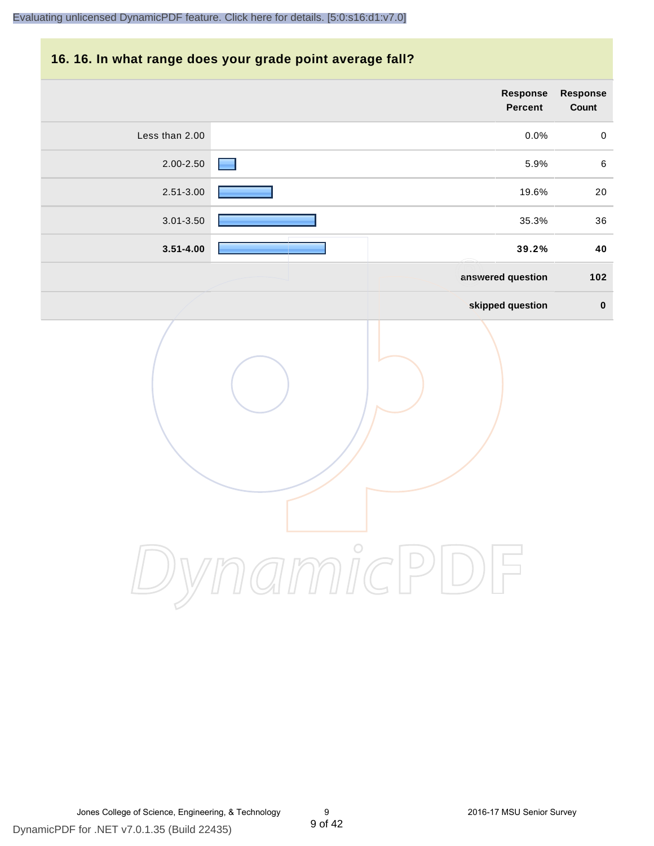#### **16. 16. In what range does your grade point average fall?**

| Response<br>Count | Response<br>Percent |                |
|-------------------|---------------------|----------------|
| $\mathbf 0$       | 0.0%                | Less than 2.00 |
| $\,6\,$           | 5.9%                | 2.00-2.50      |
| $20\,$            | 19.6%               | 2.51-3.00      |
| 36                | 35.3%               | 3.01-3.50      |
| 40                | 39.2%               | $3.51 - 4.00$  |
| 102               | answered question   |                |
| $\pmb{0}$         | skipped question    |                |
|                   | $\bigcirc$          |                |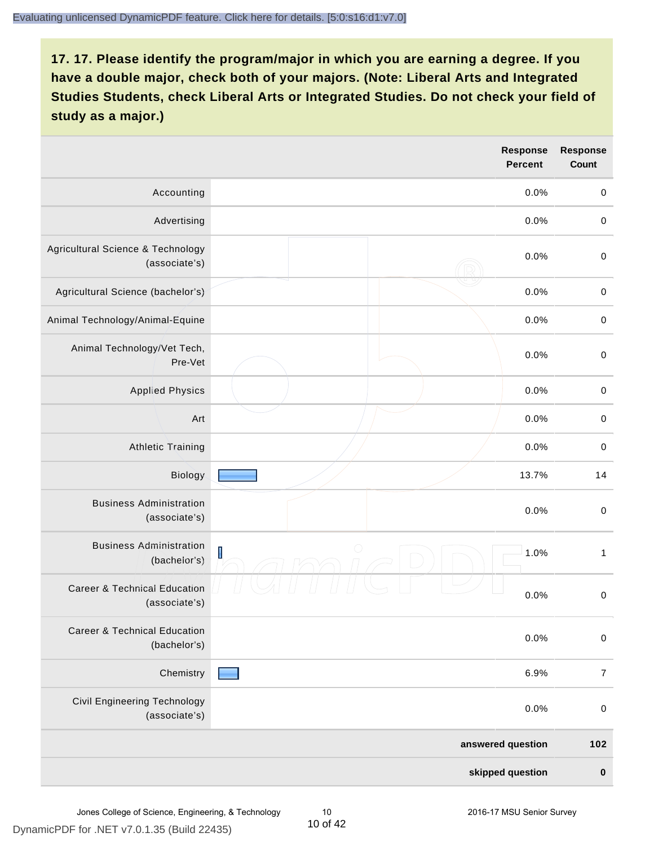|                                                          |                         | <b>Response</b><br><b>Percent</b> | <b>Response</b><br><b>Count</b> |
|----------------------------------------------------------|-------------------------|-----------------------------------|---------------------------------|
| Accounting                                               |                         | 0.0%                              | $\mathbf 0$                     |
| Advertising                                              |                         | 0.0%                              | $\pmb{0}$                       |
| Agricultural Science & Technology<br>(associate's)       |                         | 0.0%                              | $\mathbf 0$                     |
| Agricultural Science (bachelor's)                        |                         | 0.0%                              | $\mathbf 0$                     |
| Animal Technology/Animal-Equine                          |                         | 0.0%                              | $\mathbf 0$                     |
| Animal Technology/Vet Tech,<br>Pre-Vet                   |                         | 0.0%                              | $\mathbf 0$                     |
| <b>Applied Physics</b>                                   |                         | 0.0%                              | $\mathbf 0$                     |
| Art                                                      |                         | 0.0%                              | $\pmb{0}$                       |
| <b>Athletic Training</b>                                 |                         | 0.0%                              | $\pmb{0}$                       |
| Biology                                                  |                         | 13.7%                             | 14                              |
| <b>Business Administration</b><br>(associate's)          |                         | 0.0%                              | $\pmb{0}$                       |
| <b>Business Administration</b><br>(bachelor's)           | $\overline{\mathsf{I}}$ | 1.0%                              | 1                               |
| <b>Career &amp; Technical Education</b><br>(associate's) |                         | 0.0%                              | $\mathbf 0$                     |
| <b>Career &amp; Technical Education</b><br>(bachelor's)  |                         | 0.0%                              | $\mathbf 0$                     |
| Chemistry                                                |                         | 6.9%                              | $\overline{7}$                  |
| <b>Civil Engineering Technology</b><br>(associate's)     |                         | 0.0%                              | $\mathbf 0$                     |
|                                                          |                         | answered question                 | 102                             |
|                                                          |                         | skipped question                  | $\pmb{0}$                       |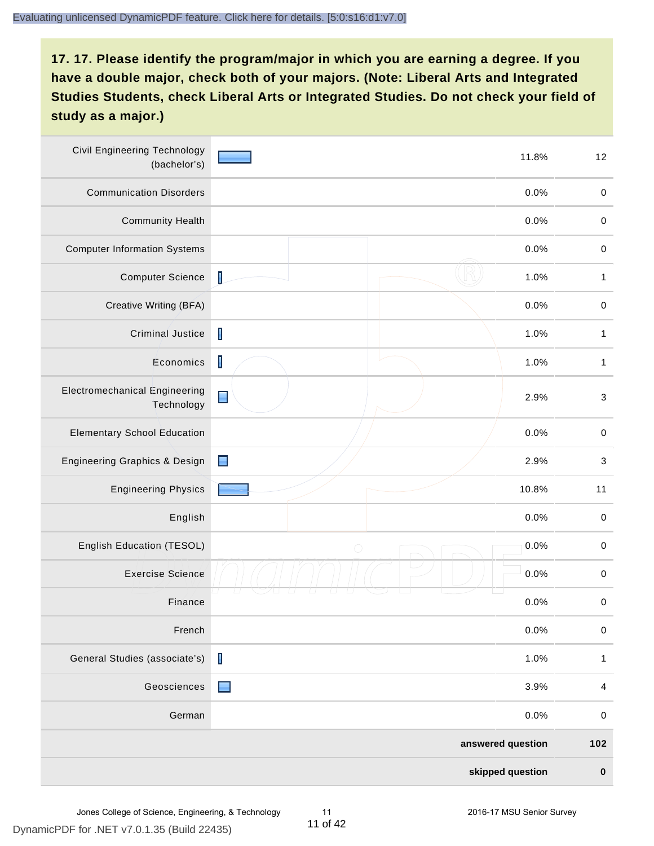| <b>Civil Engineering Technology</b><br>(bachelor's) |                | 11.8%             | 12                        |
|-----------------------------------------------------|----------------|-------------------|---------------------------|
| <b>Communication Disorders</b>                      |                | 0.0%              | $\,0\,$                   |
| <b>Community Health</b>                             |                | 0.0%              | $\pmb{0}$                 |
| <b>Computer Information Systems</b>                 |                | 0.0%              | $\,0\,$                   |
| <b>Computer Science</b>                             | $\mathsf I$    | 1.0%              | $\mathbf{1}$              |
| Creative Writing (BFA)                              |                | 0.0%              | $\mathbf 0$               |
| Criminal Justice                                    | $\mathsf I$    | 1.0%              | $\mathbf{1}$              |
| Economics                                           | $\mathbf I$    | 1.0%              | $\mathbf{1}$              |
| <b>Electromechanical Engineering</b><br>Technology  | $\blacksquare$ | 2.9%              | $\ensuremath{\mathsf{3}}$ |
| <b>Elementary School Education</b>                  |                | 0.0%              | $\mathbf 0$               |
| Engineering Graphics & Design                       | $\blacksquare$ | 2.9%              | $\ensuremath{\mathsf{3}}$ |
| <b>Engineering Physics</b>                          |                | 10.8%             | 11                        |
| English                                             |                | 0.0%              | $\pmb{0}$                 |
| English Education (TESOL)                           | $\bigcirc$     | 0.0%              | $\mathbf 0$               |
| <b>Exercise Science</b>                             |                | 0.0%              | $\mathbf 0$               |
| Finance                                             |                | 0.0%              | $\,0\,$                   |
| French                                              |                | 0.0%              | $\pmb{0}$                 |
| General Studies (associate's)                       | $\mathbf I$    | 1.0%              | $\mathbf{1}$              |
| Geosciences                                         | $\blacksquare$ | 3.9%              | $\overline{\mathbf{4}}$   |
| German                                              |                | 0.0%              | $\mathbf 0$               |
|                                                     |                | answered question | 102                       |
|                                                     |                | skipped question  | $\pmb{0}$                 |

DynamicPDF for .NET v7.0.1.35 (Build 22435)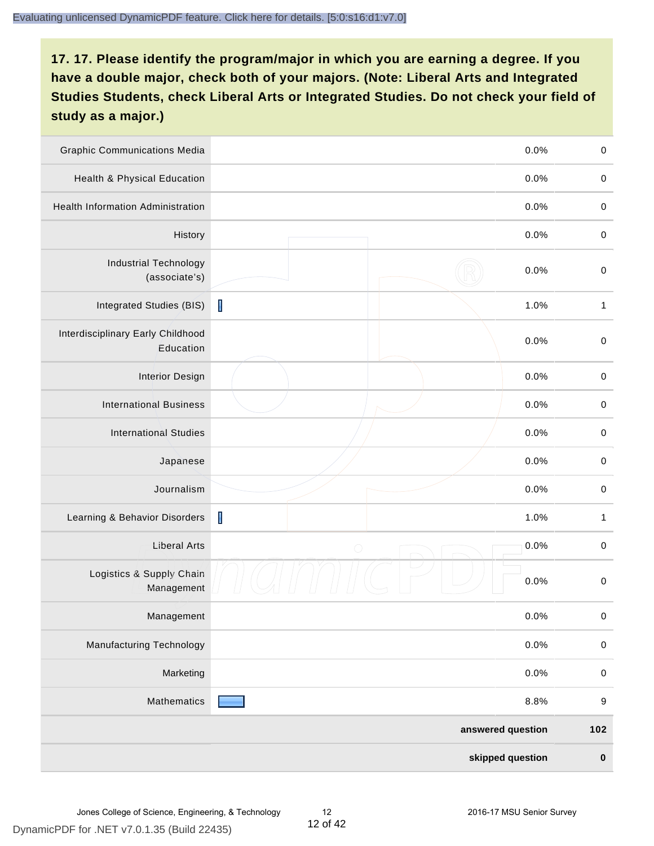| <b>Graphic Communications Media</b>            |             | 0.0%              | $\mathbf 0$      |
|------------------------------------------------|-------------|-------------------|------------------|
| Health & Physical Education                    |             | 0.0%              | $\mathbf 0$      |
| <b>Health Information Administration</b>       |             | 0.0%              | $\pmb{0}$        |
| History                                        |             | 0.0%              | $\mathbf 0$      |
| <b>Industrial Technology</b><br>(associate's)  |             | 0.0%              | $\mathbf 0$      |
| Integrated Studies (BIS)                       | I           | 1.0%              | $\mathbf{1}$     |
| Interdisciplinary Early Childhood<br>Education |             | 0.0%              | $\mathbf 0$      |
| <b>Interior Design</b>                         |             | 0.0%              | $\mathbf 0$      |
| <b>International Business</b>                  |             | 0.0%              | $\mathbf 0$      |
| <b>International Studies</b>                   |             | 0.0%              | $\mathbf 0$      |
| Japanese                                       |             | 0.0%              | $\pmb{0}$        |
| Journalism                                     |             | 0.0%              | $\pmb{0}$        |
| Learning & Behavior Disorders                  | $\mathsf I$ | 1.0%              | $\mathbf{1}$     |
| <b>Liberal Arts</b>                            | $\bigcirc$  | 0.0%              | $\mathbf 0$      |
| Logistics & Supply Chain<br>Management         |             | 0.0%              | $\mathbf 0$      |
| Management                                     |             | 0.0%              | $\pmb{0}$        |
| <b>Manufacturing Technology</b>                |             | 0.0%              | $\pmb{0}$        |
| Marketing                                      |             | 0.0%              | $\mathbf 0$      |
| Mathematics                                    |             | 8.8%              | $\boldsymbol{9}$ |
|                                                |             | answered question | 102              |
|                                                |             | skipped question  | $\pmb{0}$        |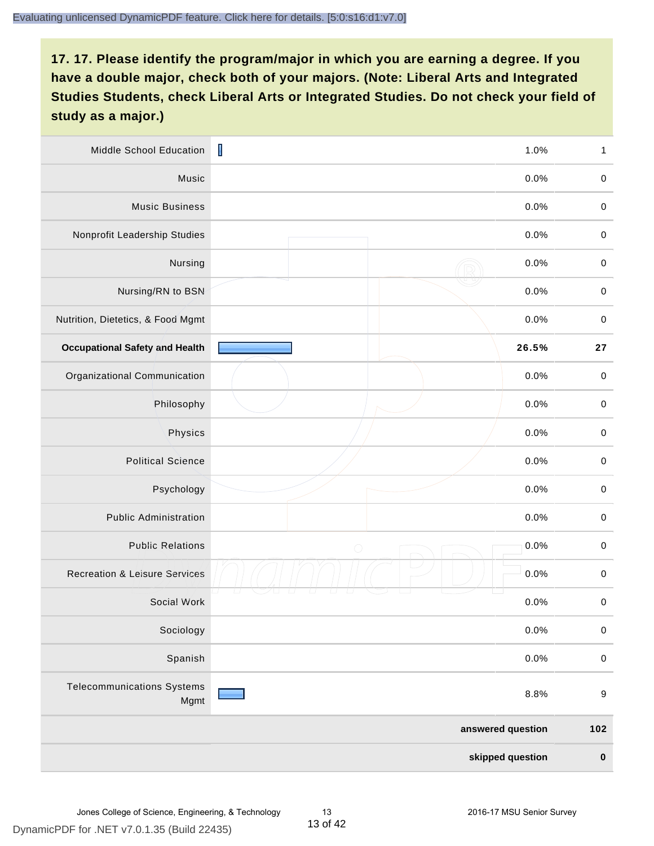| Middle School Education                   | $\mathbf I$<br>1.0% | $\mathbf{1}$     |
|-------------------------------------------|---------------------|------------------|
| Music                                     | 0.0%                | $\,0\,$          |
| <b>Music Business</b>                     | 0.0%                | $\mathbf 0$      |
| Nonprofit Leadership Studies              | 0.0%                | $\pmb{0}$        |
| Nursing                                   | 0.0%                | $\pmb{0}$        |
| Nursing/RN to BSN                         | 0.0%                | $\pmb{0}$        |
| Nutrition, Dietetics, & Food Mgmt         | 0.0%                | $\pmb{0}$        |
| <b>Occupational Safety and Health</b>     | 26.5%               | 27               |
| Organizational Communication              | 0.0%                | $\pmb{0}$        |
| Philosophy                                | 0.0%                | $\pmb{0}$        |
| Physics                                   | 0.0%                | $\pmb{0}$        |
| <b>Political Science</b>                  | 0.0%                | $\mathbf 0$      |
| Psychology                                | 0.0%                | $\pmb{0}$        |
| <b>Public Administration</b>              | 0.0%                | $\mathbf 0$      |
| <b>Public Relations</b>                   | 0.0%<br>$\bigcirc$  | $\pmb{0}$        |
| <b>Recreation &amp; Leisure Services</b>  | 0.0%                | $\pmb{0}$        |
| Social Work                               | 0.0%                | $\pmb{0}$        |
| Sociology                                 | 0.0%                | $\pmb{0}$        |
| Spanish                                   | 0.0%                | $\mathbf 0$      |
| <b>Telecommunications Systems</b><br>Mgmt | 8.8%                | $\boldsymbol{9}$ |
|                                           | answered question   | 102              |
|                                           | skipped question    | $\pmb{0}$        |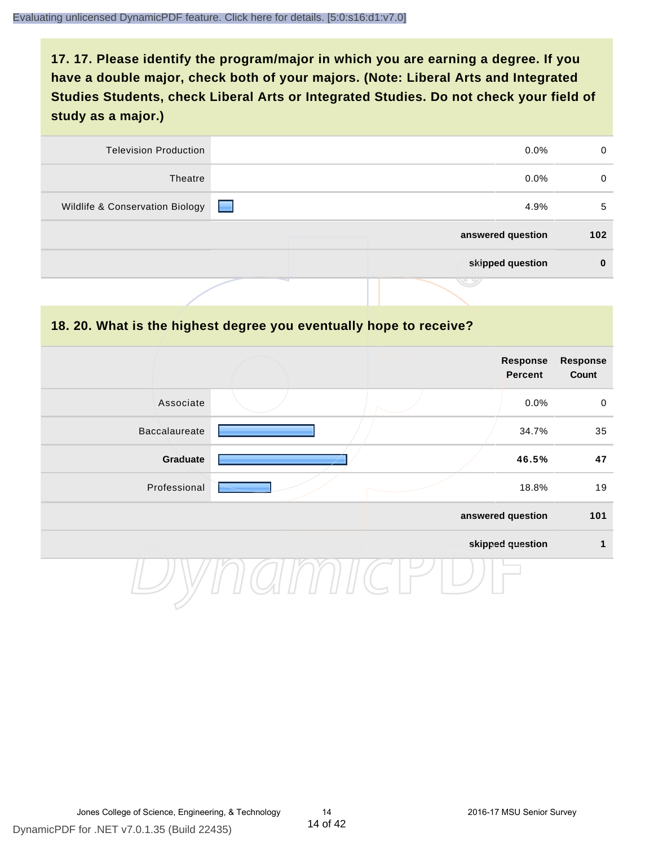| 0        | $0.0\%$              | <b>Television Production</b>    |
|----------|----------------------|---------------------------------|
| 0        | $0.0\%$              | Theatre                         |
| 5        | <b>START</b><br>4.9% | Wildlife & Conservation Biology |
| 102      | answered question    |                                 |
| $\bf{0}$ | skipped question     |                                 |
|          |                      |                                 |

#### **18. 20. What is the highest degree you eventually hope to receive?**

|               |  | <b>Response</b><br><b>Percent</b> | <b>Response</b><br>Count |
|---------------|--|-----------------------------------|--------------------------|
| Associate     |  | 0.0%                              | $\mathbf 0$              |
| Baccalaureate |  | 34.7%                             | 35                       |
| Graduate      |  | 46.5%                             | 47                       |
| Professional  |  | 18.8%                             | 19                       |
|               |  | answered question                 | 101                      |
|               |  | skipped question                  | $\mathbf{1}$             |
|               |  |                                   |                          |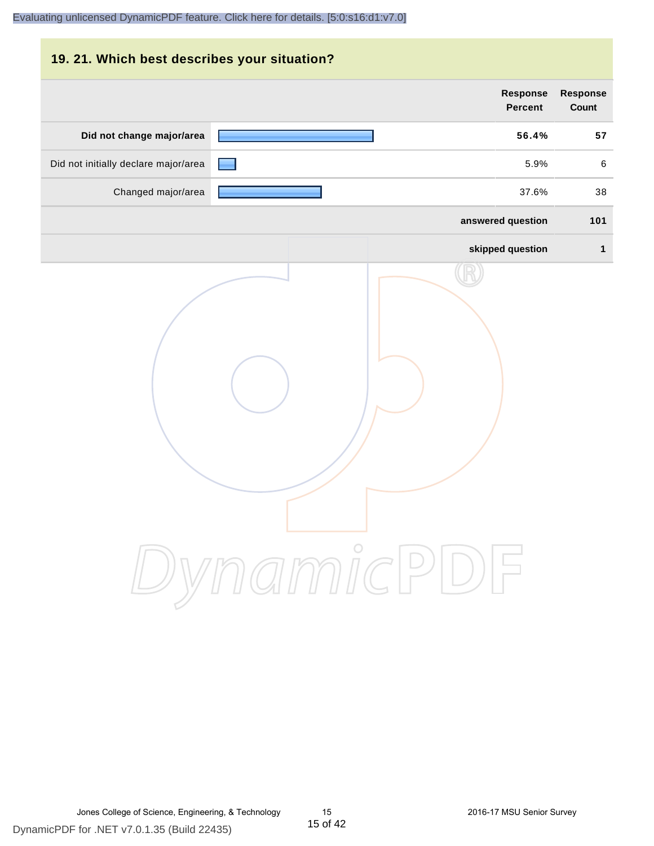| 19. 21. Which best describes your situation? |                                   |                                 |
|----------------------------------------------|-----------------------------------|---------------------------------|
|                                              | <b>Response</b><br><b>Percent</b> | <b>Response</b><br><b>Count</b> |
| Did not change major/area                    | 56.4%                             | 57                              |
| Did not initially declare major/area         | 5.9%                              | 6                               |
| Changed major/area                           | 37.6%                             | 38                              |
|                                              | answered question                 | 101                             |
|                                              | skipped question                  | 1                               |
|                                              | DynamicPDF                        |                                 |

DynamicPDF for .NET v7.0.1.35 (Build 22435)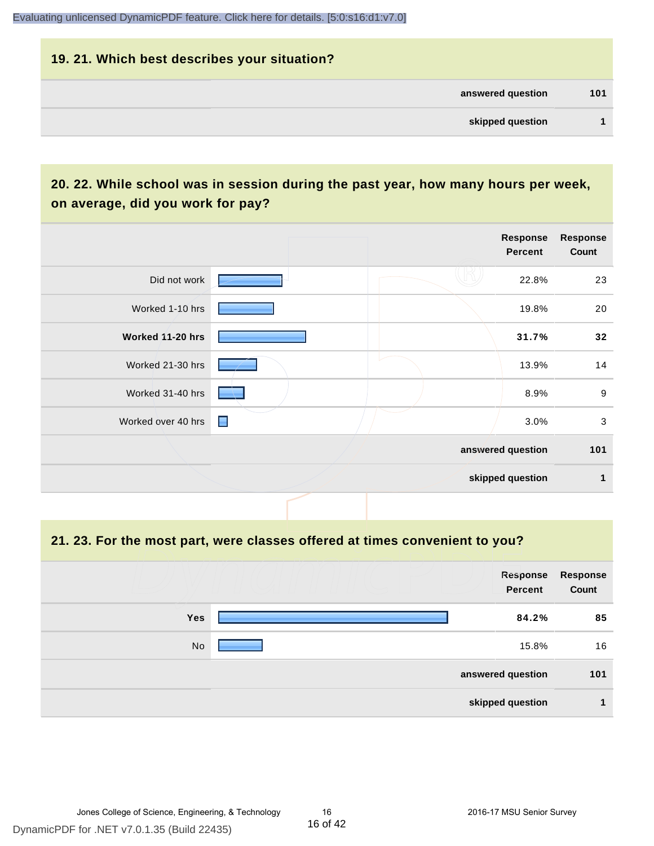# **19. 21. Which best describes your situation? answered question 101 skipped question 1**

# **20. 22. While school was in session during the past year, how many hours per week, on average, did you work for pay?**

|                    |                | Response<br><b>Percent</b> | <b>Response</b><br>Count |
|--------------------|----------------|----------------------------|--------------------------|
| Did not work       |                | 22.8%                      | 23                       |
| Worked 1-10 hrs    |                | 19.8%                      | 20                       |
| Worked 11-20 hrs   |                | 31.7%                      | 32                       |
| Worked 21-30 hrs   |                | 13.9%                      | 14                       |
| Worked 31-40 hrs   |                | 8.9%                       | $\boldsymbol{9}$         |
| Worked over 40 hrs | $\blacksquare$ | 3.0%                       | $\mathbf{3}$             |
|                    |                | answered question          | 101                      |
|                    |                | skipped question           | 1                        |

#### **21. 23. For the most part, were classes offered at times convenient to you?**

|            | Response<br>Percent | <b>Response</b><br>Count |
|------------|---------------------|--------------------------|
| <b>Yes</b> | 84.2%               | 85                       |
| No         | 15.8%               | 16                       |
|            | answered question   | 101                      |
|            | skipped question    |                          |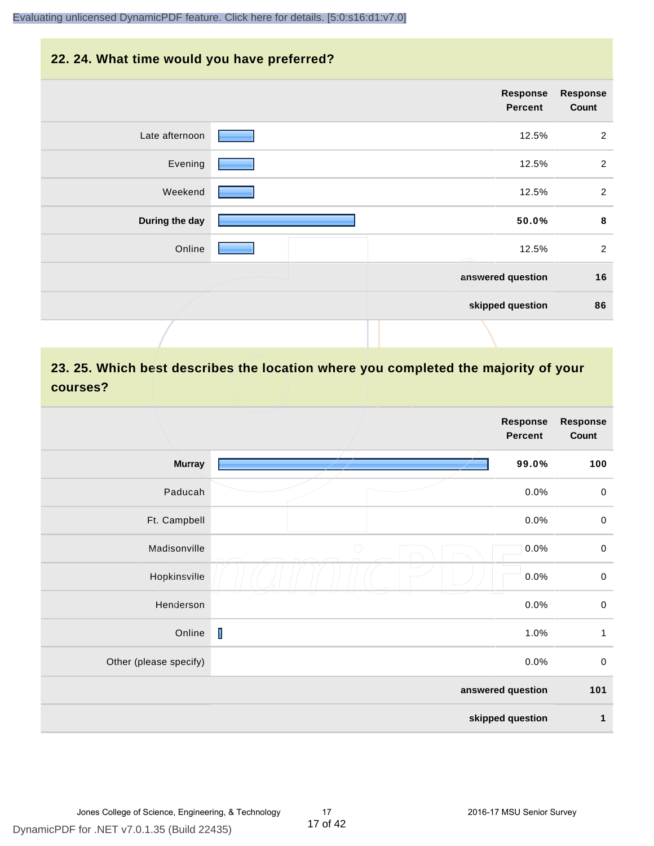#### **22. 24. What time would you have preferred?**

|                | Response<br>Percent | <b>Response</b><br>Count |
|----------------|---------------------|--------------------------|
| Late afternoon | 12.5%               | 2                        |
| Evening        | 12.5%               | 2                        |
| Weekend        | 12.5%               | $\overline{2}$           |
| During the day | 50.0%               | 8                        |
| Online         | 12.5%               | 2                        |
|                | answered question   | 16                       |
|                | skipped question    | 86                       |
|                |                     |                          |

# **23. 25. Which best describes the location where you completed the majority of your courses?**

|                        |             | <b>Response</b><br>Percent | <b>Response</b><br>Count |
|------------------------|-------------|----------------------------|--------------------------|
| <b>Murray</b>          |             | 99.0%                      | 100                      |
| Paducah                |             | 0.0%                       | $\mathbf 0$              |
| Ft. Campbell           |             | 0.0%                       | $\mathbf 0$              |
| Madisonville           | $\bigcirc$  | 0.0%                       | $\mathbf 0$              |
| Hopkinsville           |             | 0.0%                       | $\pmb{0}$                |
| Henderson              |             | 0.0%                       | $\,0\,$                  |
| Online                 | $\mathbf I$ | 1.0%                       | $\mathbf{1}$             |
| Other (please specify) |             | 0.0%                       | $\pmb{0}$                |
|                        |             | answered question          | 101                      |
|                        |             | skipped question           | $\mathbf{1}$             |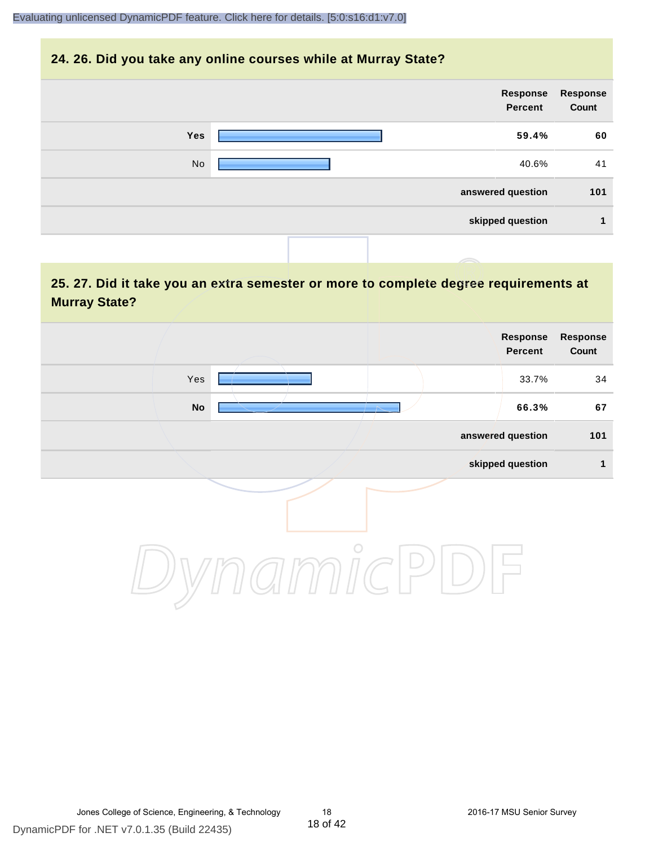#### **24. 26. Did you take any online courses while at Murray State?**

| <b>Response</b><br>Count | Response<br>Percent |     |
|--------------------------|---------------------|-----|
| 60                       | 59.4%               | Yes |
| 41                       | 40.6%               | No  |
| 101                      | answered question   |     |
| 1                        | skipped question    |     |
|                          |                     |     |

# **25. 27. Did it take you an extra semester or more to complete degree requirements at Murray State?**

| <b>Response</b><br>Count | Response<br>Percent |         |                            |
|--------------------------|---------------------|---------|----------------------------|
| 34                       | 33.7%               |         | Yes                        |
| 67                       | 66.3%               |         | $\mathop{\sf No}\nolimits$ |
| 101                      | answered question   |         |                            |
| 1                        | skipped question    |         |                            |
|                          |                     | $\circ$ |                            |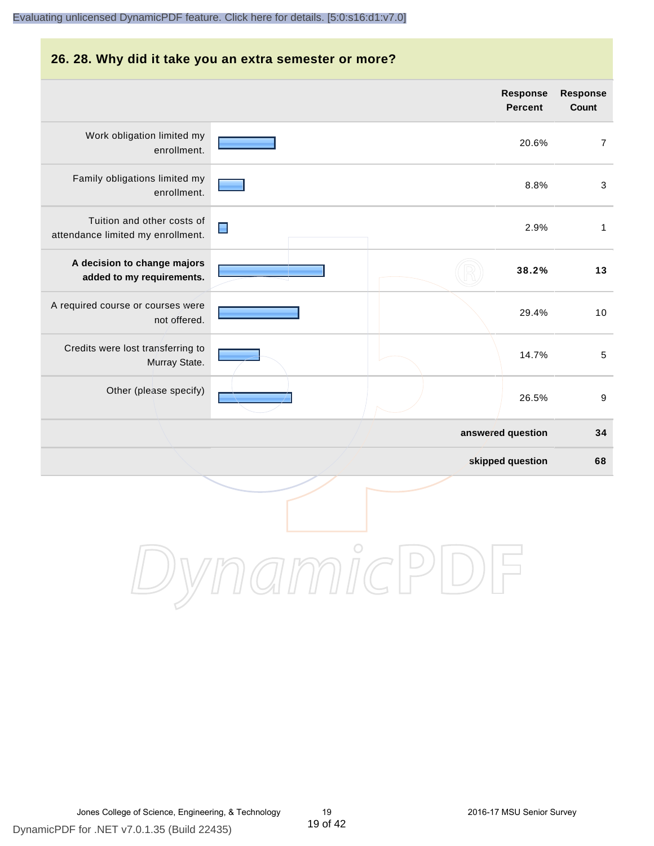#### **26. 28. Why did it take you an extra semester or more?**

|                                                                 |                |            |  | Response<br><b>Percent</b> | Response<br>Count |
|-----------------------------------------------------------------|----------------|------------|--|----------------------------|-------------------|
| Work obligation limited my<br>enrollment.                       |                |            |  | 20.6%                      | $\overline{7}$    |
| Family obligations limited my<br>enrollment.                    |                |            |  | 8.8%                       | 3                 |
| Tuition and other costs of<br>attendance limited my enrollment. | $\blacksquare$ |            |  | 2.9%                       | $\mathbf{1}$      |
| A decision to change majors<br>added to my requirements.        |                |            |  | 38.2%                      | 13                |
| A required course or courses were<br>not offered.               |                |            |  | 29.4%                      | 10                |
| Credits were lost transferring to<br>Murray State.              |                |            |  | 14.7%                      | $\sqrt{5}$        |
| Other (please specify)                                          |                |            |  | 26.5%                      | $\boldsymbol{9}$  |
|                                                                 |                |            |  | answered question          | 34                |
|                                                                 |                |            |  | skipped question           | 68                |
|                                                                 |                | $\bigcirc$ |  |                            |                   |

DynamicPDF for .NET v7.0.1.35 (Build 22435)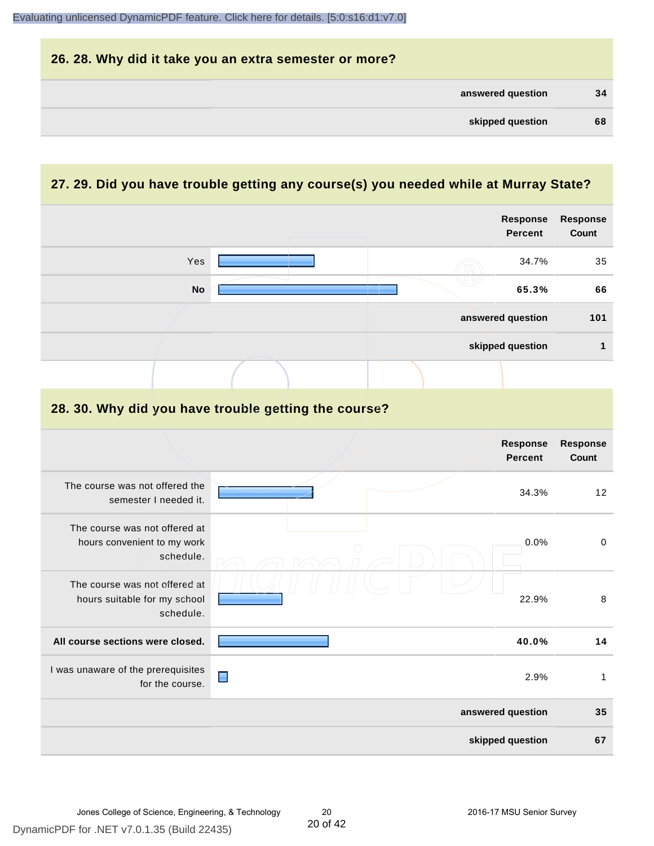| 26. 28. Why did it take you an extra semester or more? |    |
|--------------------------------------------------------|----|
| answered question                                      | 34 |
| skipped question                                       | 68 |

# **27. 29. Did you have trouble getting any course(s) you needed while at Murray State?**

|                                                                            |                                                      | <b>Response</b><br><b>Percent</b> | <b>Response</b><br>Count |
|----------------------------------------------------------------------------|------------------------------------------------------|-----------------------------------|--------------------------|
| Yes                                                                        |                                                      | 34.7%                             | 35                       |
| <b>No</b>                                                                  |                                                      | 65.3%                             | 66                       |
|                                                                            |                                                      | answered question                 | 101                      |
|                                                                            |                                                      | skipped question                  | 1                        |
|                                                                            |                                                      |                                   |                          |
|                                                                            | 28. 30. Why did you have trouble getting the course? |                                   |                          |
|                                                                            |                                                      | <b>Response</b><br><b>Percent</b> | <b>Response</b><br>Count |
| The course was not offered the<br>semester I needed it.                    |                                                      | 34.3%                             | 12                       |
| The course was not offered at<br>hours convenient to my work<br>schedule.  |                                                      | 0.0%                              | $\pmb{0}$                |
| The course was not offered at<br>hours suitable for my school<br>schedule. |                                                      | 22.9%                             | 8                        |
| All course sections were closed.                                           |                                                      | 40.0%                             | 14                       |
| I was unaware of the prerequisites<br>for the course.                      | $\blacksquare$                                       | 2.9%                              | $\mathbf{1}$             |
|                                                                            |                                                      | answered question                 | 35                       |
|                                                                            |                                                      | skipped question                  | 67                       |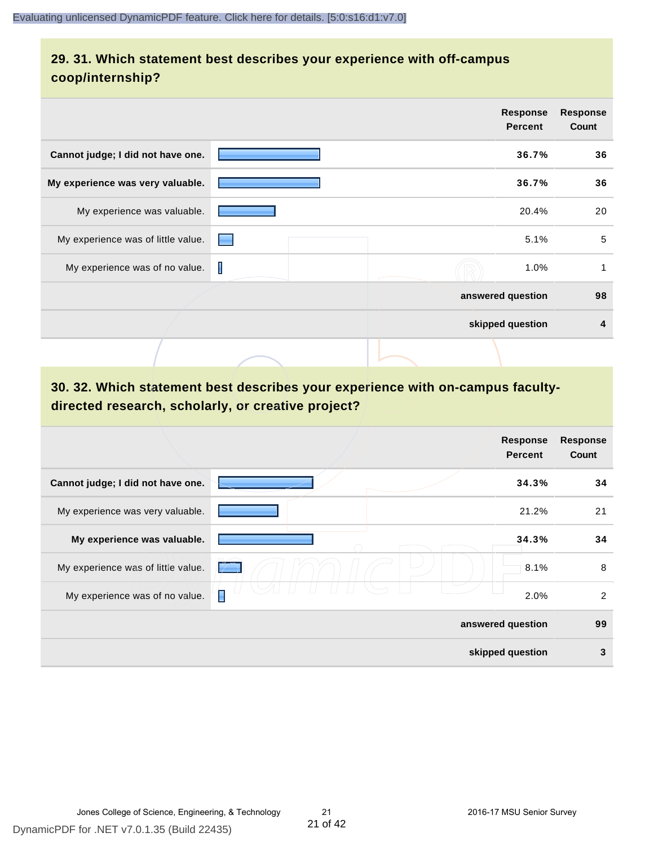# **29. 31. Which statement best describes your experience with off-campus coop/internship?**

|                                    |   |  | <b>Response</b><br><b>Percent</b> | <b>Response</b><br>Count |
|------------------------------------|---|--|-----------------------------------|--------------------------|
| Cannot judge; I did not have one.  |   |  | 36.7%                             | 36                       |
| My experience was very valuable.   |   |  | 36.7%                             | 36                       |
| My experience was valuable.        |   |  | 20.4%                             | 20                       |
| My experience was of little value. |   |  | 5.1%                              | 5                        |
| My experience was of no value.     | I |  | 1.0%                              | 1                        |
|                                    |   |  | answered question                 | 98                       |
|                                    |   |  | skipped question                  | 4                        |
|                                    |   |  |                                   |                          |

# **30. 32. Which statement best describes your experience with on-campus facultydirected research, scholarly, or creative project?**

|                                    | <b>Response</b><br><b>Percent</b> | <b>Response</b><br>Count |
|------------------------------------|-----------------------------------|--------------------------|
| Cannot judge; I did not have one.  | 34.3%                             | 34                       |
| My experience was very valuable.   | 21.2%                             | 21                       |
| My experience was valuable.        | 34.3%                             | 34                       |
| My experience was of little value. | 8.1%                              | 8                        |
| My experience was of no value.     | Π<br>2.0%                         | 2                        |
|                                    | answered question                 | 99                       |
|                                    | skipped question                  | 3                        |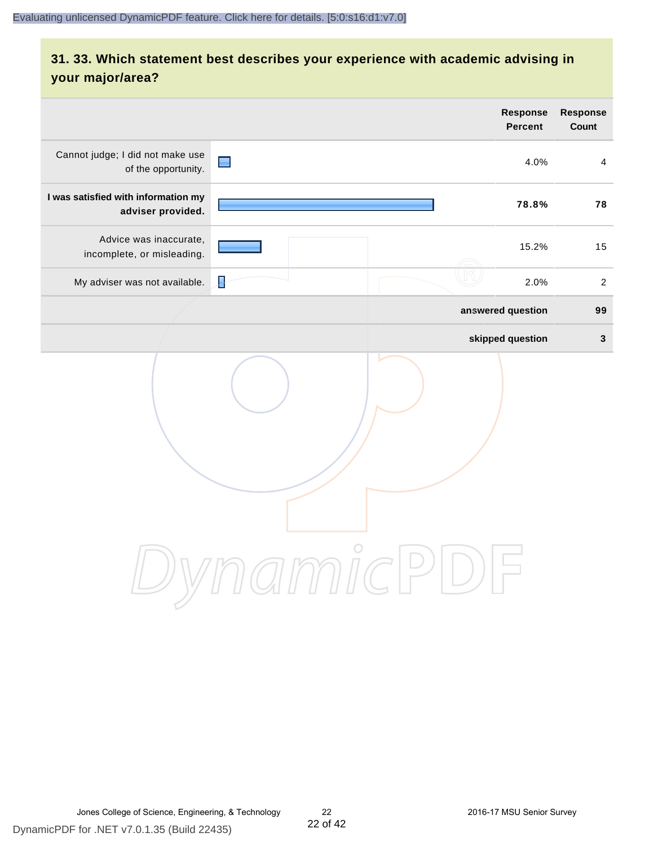# **31. 33. Which statement best describes your experience with academic advising in your major/area?**

|                                                          | Response<br>Percent                                      | Response<br>Count |
|----------------------------------------------------------|----------------------------------------------------------|-------------------|
| Cannot judge; I did not make use<br>of the opportunity.  | $\blacksquare$<br>4.0%                                   | $\overline{4}$    |
| I was satisfied with information my<br>adviser provided. | 78.8%                                                    | 78                |
| Advice was inaccurate,<br>incomplete, or misleading.     | 15.2%                                                    | 15                |
| My adviser was not available.                            | ₽<br>2.0%                                                | $\overline{2}$    |
|                                                          | answered question                                        | 99                |
|                                                          | skipped question                                         | $\mathbf 3$       |
|                                                          | amnicPl<br>$\left( \begin{array}{c} \end{array} \right)$ |                   |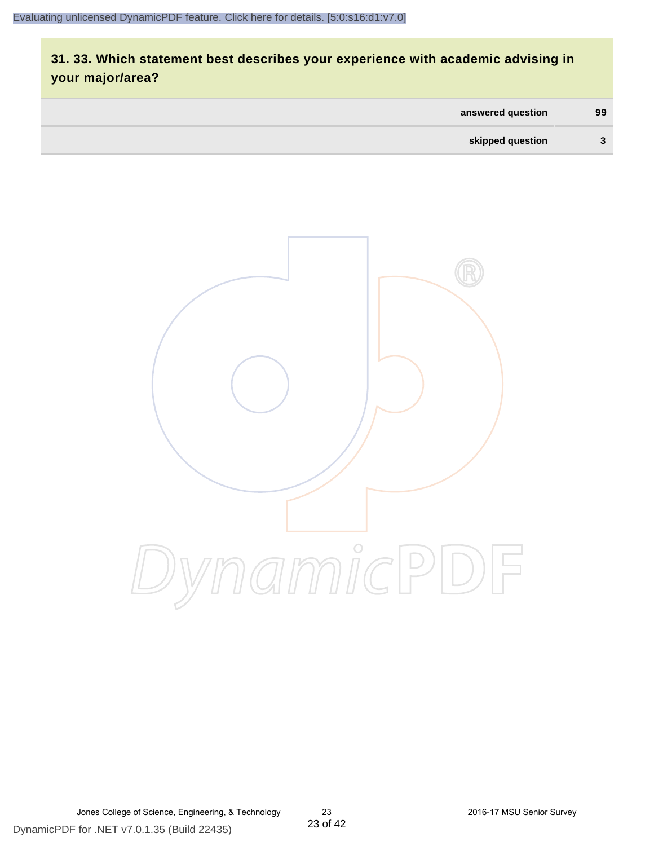# **31. 33. Which statement best describes your experience with academic advising in your major/area?**

| answered question | 99 |
|-------------------|----|
| skipped question  | 3  |



Jones College of Science, Engineering, & Technology 23 2016-17 MSU Senior Survey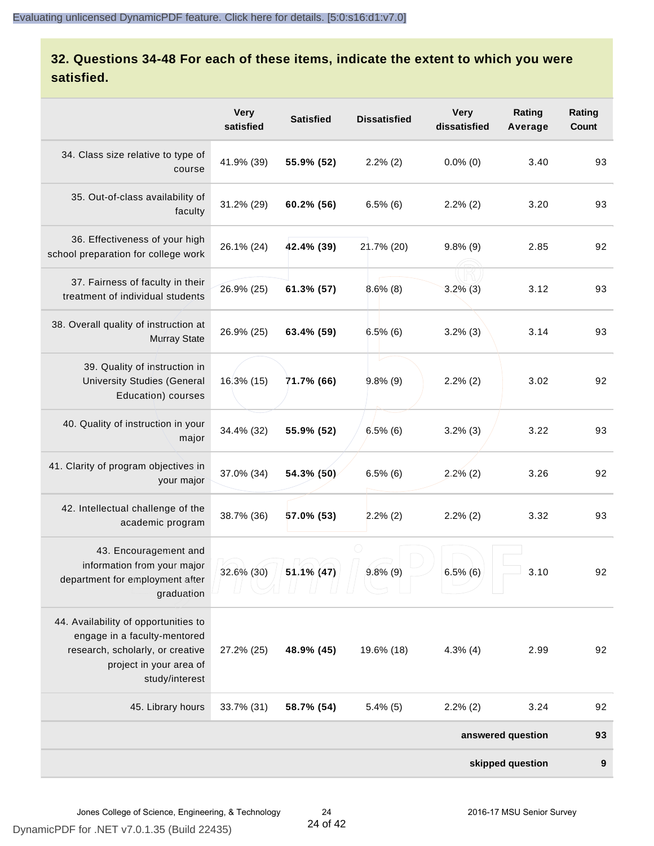# **32. Questions 34-48 For each of these items, indicate the extent to which you were satisfied.**

|                                                                                                                                                       | <b>Very</b><br>satisfied | <b>Satisfied</b> | <b>Dissatisfied</b> | <b>Very</b><br>dissatisfied | Rating<br>Average | Rating<br>Count |
|-------------------------------------------------------------------------------------------------------------------------------------------------------|--------------------------|------------------|---------------------|-----------------------------|-------------------|-----------------|
| 34. Class size relative to type of<br>course                                                                                                          | 41.9% (39)               | 55.9% (52)       | $2.2\%$ (2)         | $0.0\%$ (0)                 | 3.40              | 93              |
| 35. Out-of-class availability of<br>faculty                                                                                                           | 31.2% (29)               | 60.2% (56)       | $6.5\%$ (6)         | $2.2\%$ (2)                 | 3.20              | 93              |
| 36. Effectiveness of your high<br>school preparation for college work                                                                                 | 26.1% (24)               | 42.4% (39)       | 21.7% (20)          | $9.8\%$ (9)                 | 2.85              | 92              |
| 37. Fairness of faculty in their<br>treatment of individual students                                                                                  | 26.9% (25)               | 61.3% (57)       | $8.6\%$ (8)         | $3.2\%$ (3)                 | 3.12              | 93              |
| 38. Overall quality of instruction at<br><b>Murray State</b>                                                                                          | 26.9% (25)               | 63.4% (59)       | 6.5%(6)             | $3.2\%$ (3)                 | 3.14              | 93              |
| 39. Quality of instruction in<br><b>University Studies (General</b><br>Education) courses                                                             | 16.3% (15)               | 71.7% (66)       | $9.8\%$ (9)         | $2.2\%$ (2)                 | 3.02              | 92              |
| 40. Quality of instruction in your<br>major                                                                                                           | 34.4% (32)               | 55.9% (52)       | $6.5\%$ (6)         | $3.2\%$ (3)                 | 3.22              | 93              |
| 41. Clarity of program objectives in<br>your major                                                                                                    | 37.0% (34)               | 54.3% (50)       | $6.5\%$ (6)         | $2.2%$ (2)                  | 3.26              | 92              |
| 42. Intellectual challenge of the<br>academic program                                                                                                 | 38.7% (36)               | 57.0% (53)       | $2.2\%$ (2)         | $2.2\%$ (2)                 | 3.32              | 93              |
| 43. Encouragement and<br>information from your major<br>department for employment after<br>graduation                                                 | 32.6% (30)               | 51.1% (47)       | $9.8\%$ (9)         | $6.5\%$ (6)                 | 3.10              | 92              |
| 44. Availability of opportunities to<br>engage in a faculty-mentored<br>research, scholarly, or creative<br>project in your area of<br>study/interest | 27.2% (25)               | 48.9% (45)       | 19.6% (18)          | $4.3\%$ (4)                 | 2.99              | 92              |
| 45. Library hours                                                                                                                                     | 33.7% (31)               | 58.7% (54)       | $5.4\%$ (5)         | $2.2\%$ (2)                 | 3.24              | 92              |
|                                                                                                                                                       |                          |                  |                     |                             | answered question | 93              |
|                                                                                                                                                       |                          |                  |                     |                             | skipped question  | 9               |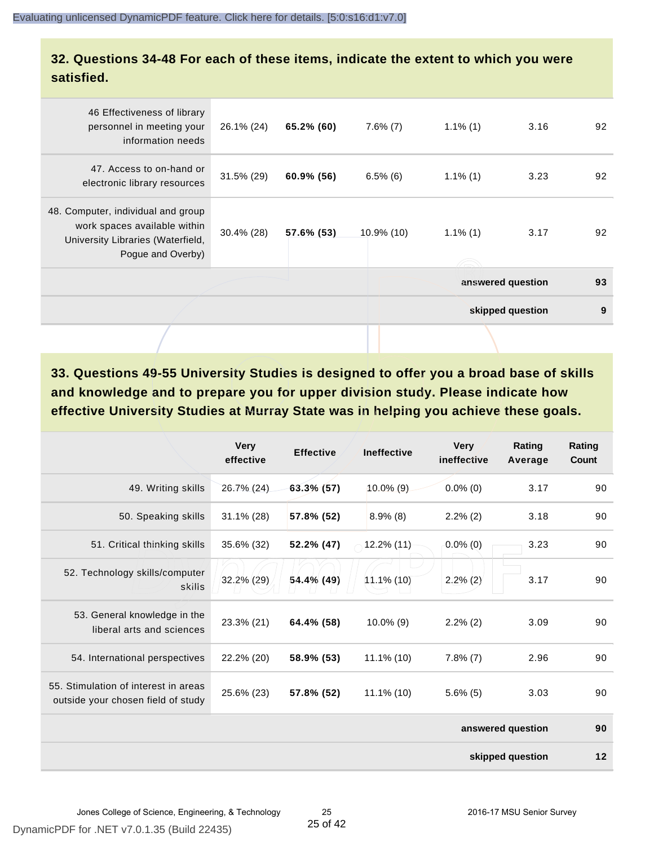#### **32. Questions 34-48 For each of these items, indicate the extent to which you were satisfied.**

|                                                                                                                              |               |            |             |             | skipped question  | 9  |
|------------------------------------------------------------------------------------------------------------------------------|---------------|------------|-------------|-------------|-------------------|----|
|                                                                                                                              |               |            |             |             | answered question | 93 |
| 48. Computer, individual and group<br>work spaces available within<br>University Libraries (Waterfield,<br>Pogue and Overby) | $30.4\%$ (28) | 57.6% (53) | 10.9% (10)  | $1.1\%$ (1) | 3.17              | 92 |
| 47. Access to on-hand or<br>electronic library resources                                                                     | 31.5% (29)    | 60.9% (56) | $6.5\%$ (6) | $1.1\%$ (1) | 3.23              | 92 |
| 46 Effectiveness of library<br>personnel in meeting your<br>information needs                                                | 26.1% (24)    | 65.2% (60) | $7.6\%$ (7) | $1.1\%$ (1) | 3.16              | 92 |
|                                                                                                                              |               |            |             |             |                   |    |

**33. Questions 49-55 University Studies is designed to offer you a broad base of skills and knowledge and to prepare you for upper division study. Please indicate how effective University Studies at Murray State was in helping you achieve these goals.**

|                                                                            | <b>Very</b><br>effective | <b>Effective</b> | <b>Ineffective</b> | <b>Very</b><br>ineffective | Rating<br>Average | Rating<br>Count |
|----------------------------------------------------------------------------|--------------------------|------------------|--------------------|----------------------------|-------------------|-----------------|
| 49. Writing skills                                                         | 26.7% (24)               | $63.3\%$ (57)    | $10.0\%$ (9)       | $0.0\%$ (0)                | 3.17              | 90              |
| 50. Speaking skills                                                        | $31.1\%$ (28)            | 57.8% (52)       | $8.9\%$ (8)        | $2.2\%$ (2)                | 3.18              | 90              |
| 51. Critical thinking skills                                               | 35.6% (32)               | 52.2% (47)       | $12.2\%$ (11)      | $0.0\%$ (0)                | 3.23              | 90              |
| 52. Technology skills/computer<br>skills                                   | 32.2% (29)               | 54.4% (49)       | $11.1\%$ (10)      | $2.2\%$ (2)                | 3.17              | 90              |
| 53. General knowledge in the<br>liberal arts and sciences                  | 23.3% (21)               | 64.4% (58)       | $10.0\%$ (9)       | $2.2\%$ (2)                | 3.09              | 90              |
| 54. International perspectives                                             | 22.2% (20)               | 58.9% (53)       | $11.1\%$ (10)      | $7.8\%$ (7)                | 2.96              | 90              |
| 55. Stimulation of interest in areas<br>outside your chosen field of study | 25.6% (23)               | 57.8% (52)       | $11.1\%$ (10)      | $5.6\%$ (5)                | 3.03              | 90              |
|                                                                            |                          |                  |                    |                            | answered question | 90              |
|                                                                            |                          |                  |                    |                            | skipped question  | 12              |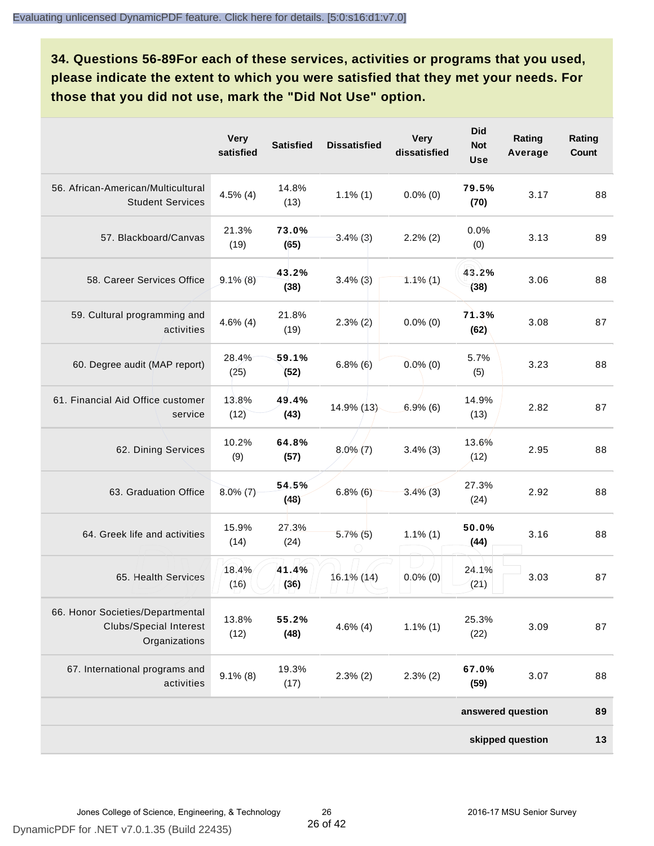**34. Questions 56-89For each of these services, activities or programs that you used, please indicate the extent to which you were satisfied that they met your needs. For those that you did not use, mark the "Did Not Use" option.**

|                                                                                    | <b>Very</b><br>satisfied | <b>Satisfied</b> | <b>Dissatisfied</b> | <b>Very</b><br>dissatisfied | <b>Did</b><br><b>Not</b><br><b>Use</b> | Rating<br>Average | Rating<br><b>Count</b> |
|------------------------------------------------------------------------------------|--------------------------|------------------|---------------------|-----------------------------|----------------------------------------|-------------------|------------------------|
| 56. African-American/Multicultural<br><b>Student Services</b>                      | $4.5\%$ (4)              | 14.8%<br>(13)    | $1.1\%$ (1)         | $0.0\%$ (0)                 | 79.5%<br>(70)                          | 3.17              | 88                     |
| 57. Blackboard/Canvas                                                              | 21.3%<br>(19)            | 73.0%<br>(65)    | $3.4\%$ (3)         | $2.2\%$ (2)                 | 0.0%<br>(0)                            | 3.13              | 89                     |
| 58. Career Services Office                                                         | $9.1\%$ (8)              | 43.2%<br>(38)    | $3.4\%$ (3)         | $1.1\%$ (1)                 | 43.2%<br>(38)                          | 3.06              | 88                     |
| 59. Cultural programming and<br>activities                                         | $4.6\%$ (4)              | 21.8%<br>(19)    | $2.3\%$ (2)         | $0.0\%$ (0)                 | 71.3%<br>(62)                          | 3.08              | 87                     |
| 60. Degree audit (MAP report)                                                      | 28.4%<br>(25)            | 59.1%<br>(52)    | $6.8\%$ (6)         | $0.0\%$ (0)                 | 5.7%<br>(5)                            | 3.23              | 88                     |
| 61. Financial Aid Office customer<br>service                                       | 13.8%<br>(12)            | 49.4%<br>(43)    | 14.9% (13)          | 6.9%(6)                     | 14.9%<br>(13)                          | 2.82              | 87                     |
| 62. Dining Services                                                                | 10.2%<br>(9)             | 64.8%<br>(57)    | $8.0\%$ (7)         | $3.4\%$ (3)                 | 13.6%<br>(12)                          | 2.95              | 88                     |
| 63. Graduation Office                                                              | $8.0\%$ (7)              | 54.5%<br>(48)    | $6.8\%$ $(6)$       | $3.4\%$ (3)                 | 27.3%<br>(24)                          | 2.92              | 88                     |
| 64. Greek life and activities                                                      | 15.9%<br>(14)            | 27.3%<br>(24)    | $5.7\%$ (5)         | $1.1\%$ (1)                 | 50.0%<br>(44)                          | 3.16              | 88                     |
| 65. Health Services                                                                | 18.4%<br>(16)            | 41.4%<br>(36)    | 16.1% (14)          | $0.0\%$ (0)                 | 24.1%<br>(21)                          | 3.03              | 87                     |
| 66. Honor Societies/Departmental<br><b>Clubs/Special Interest</b><br>Organizations | 13.8%<br>(12)            | 55.2%<br>(48)    | $4.6\%$ (4)         | $1.1\%$ (1)                 | 25.3%<br>(22)                          | 3.09              | 87                     |
| 67. International programs and<br>activities                                       | $9.1\%$ (8)              | 19.3%<br>(17)    | $2.3\%$ (2)         | $2.3\%$ (2)                 | 67.0%<br>(59)                          | 3.07              | 88                     |
|                                                                                    |                          |                  |                     |                             |                                        | answered question | 89                     |
|                                                                                    |                          |                  |                     |                             |                                        | skipped question  | 13                     |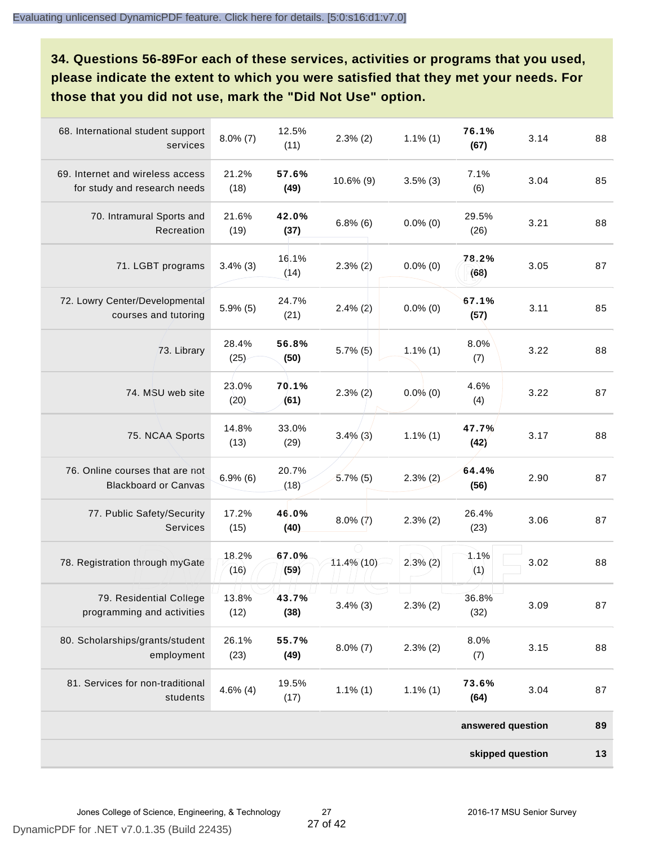**34. Questions 56-89For each of these services, activities or programs that you used, please indicate the extent to which you were satisfied that they met your needs. For those that you did not use, mark the "Did Not Use" option.**

|                                                                  |               |               |               |             | skipped question  |      | 13 |
|------------------------------------------------------------------|---------------|---------------|---------------|-------------|-------------------|------|----|
|                                                                  |               |               |               |             | answered question |      | 89 |
| 81. Services for non-traditional<br>students                     | $4.6\%$ (4)   | 19.5%<br>(17) | $1.1\%$ (1)   | $1.1\%$ (1) | 73.6%<br>(64)     | 3.04 | 87 |
| 80. Scholarships/grants/student<br>employment                    | 26.1%<br>(23) | 55.7%<br>(49) | $8.0\%$ (7)   | $2.3\%$ (2) | 8.0%<br>(7)       | 3.15 | 88 |
| 79. Residential College<br>programming and activities            | 13.8%<br>(12) | 43.7%<br>(38) | $3.4\%$ (3)   | $2.3\%$ (2) | 36.8%<br>(32)     | 3.09 | 87 |
| 78. Registration through myGate                                  | 18.2%<br>(16) | 67.0%<br>(59) | 11.4% (10)    | $2.3\%$ (2) | 1.1%<br>(1)       | 3.02 | 88 |
| 77. Public Safety/Security<br><b>Services</b>                    | 17.2%<br>(15) | 46.0%<br>(40) | $8.0\%$ (7)   | $2.3\%$ (2) | 26.4%<br>(23)     | 3.06 | 87 |
| 76. Online courses that are not<br><b>Blackboard or Canvas</b>   | $6.9\%$ $(6)$ | 20.7%<br>(18) | $5.7\%$ (5)   | $2.3\%$ (2) | 64.4%<br>(56)     | 2.90 | 87 |
| 75. NCAA Sports                                                  | 14.8%<br>(13) | 33.0%<br>(29) | $3.4\%$ (3)   | $1.1\%$ (1) | 47.7%<br>(42)     | 3.17 | 88 |
| 74. MSU web site                                                 | 23.0%<br>(20) | 70.1%<br>(61) | $2.3\%$ (2)   | $0.0\%$ (0) | 4.6%<br>(4)       | 3.22 | 87 |
| 73. Library                                                      | 28.4%<br>(25) | 56.8%<br>(50) | $5.7\%$ (5)   | $1.1\%$ (1) | 8.0%<br>(7)       | 3.22 | 88 |
| 72. Lowry Center/Developmental<br>courses and tutoring           | $5.9\%$ (5)   | 24.7%<br>(21) | $2.4\%$ (2)   | $0.0\%$ (0) | 67.1%<br>(57)     | 3.11 | 85 |
| 71. LGBT programs                                                | $3.4\%$ (3)   | 16.1%<br>(14) | $2.3\%$ $(2)$ | $0.0\%$ (0) | 78.2%<br>(68)     | 3.05 | 87 |
| 70. Intramural Sports and<br>Recreation                          | 21.6%<br>(19) | 42.0%<br>(37) | $6.8\%$ (6)   | $0.0\%$ (0) | 29.5%<br>(26)     | 3.21 | 88 |
| 69. Internet and wireless access<br>for study and research needs | 21.2%<br>(18) | 57.6%<br>(49) | 10.6% (9)     | $3.5\%$ (3) | 7.1%<br>(6)       | 3.04 | 85 |
| 68. International student support<br>services                    | $8.0\%$ (7)   | 12.5%<br>(11) | $2.3\%$ (2)   | $1.1\%$ (1) | 76.1%<br>(67)     | 3.14 | 88 |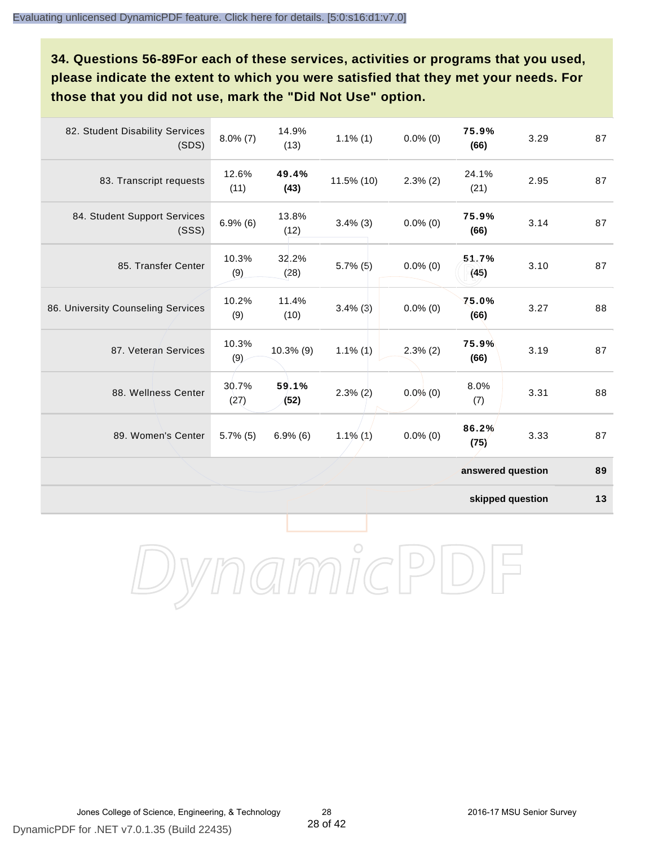**34. Questions 56-89For each of these services, activities or programs that you used, please indicate the extent to which you were satisfied that they met your needs. For those that you did not use, mark the "Did Not Use" option.**

| 82. Student Disability Services<br>(SDS) | $8.0\%$ (7)   | 14.9%<br>(13) | $1.1\%$ (1)   | $0.0\%$ (0) | 75.9%<br>(66)     | 3.29 | 87 |
|------------------------------------------|---------------|---------------|---------------|-------------|-------------------|------|----|
| 83. Transcript requests                  | 12.6%<br>(11) | 49.4%<br>(43) | 11.5% (10)    | $2.3\%$ (2) | 24.1%<br>(21)     | 2.95 | 87 |
| 84. Student Support Services<br>(SSS)    | $6.9\%$ $(6)$ | 13.8%<br>(12) | $3.4\%$ (3)   | $0.0\%$ (0) | 75.9%<br>(66)     | 3.14 | 87 |
| 85. Transfer Center                      | 10.3%<br>(9)  | 32.2%<br>(28) | $5.7\%$ (5)   | $0.0\%$ (0) | 51.7%<br>(45)     | 3.10 | 87 |
| 86. University Counseling Services       | 10.2%<br>(9)  | 11.4%<br>(10) | $3.4\%$ (3)   | $0.0\%$ (0) | 75.0%<br>(66)     | 3.27 | 88 |
| 87. Veteran Services                     | 10.3%<br>(9)  | $10.3\%$ (9)  | $1.1\%$ (1)   | $2.3\%$ (2) | 75.9%<br>(66)     | 3.19 | 87 |
| 88. Wellness Center                      | 30.7%<br>(27) | 59.1%<br>(52) | $2.3\%$ $(2)$ | $0.0\%$ (0) | 8.0%<br>(7)       | 3.31 | 88 |
| 89. Women's Center                       | $5.7\%$ (5)   | $6.9\%$ (6)   | $1.1\%$ (1)   | $0.0\%$ (0) | 86.2%<br>(75)     | 3.33 | 87 |
|                                          |               |               |               |             | answered question |      | 89 |

**skipped question 13**

DynamicPDF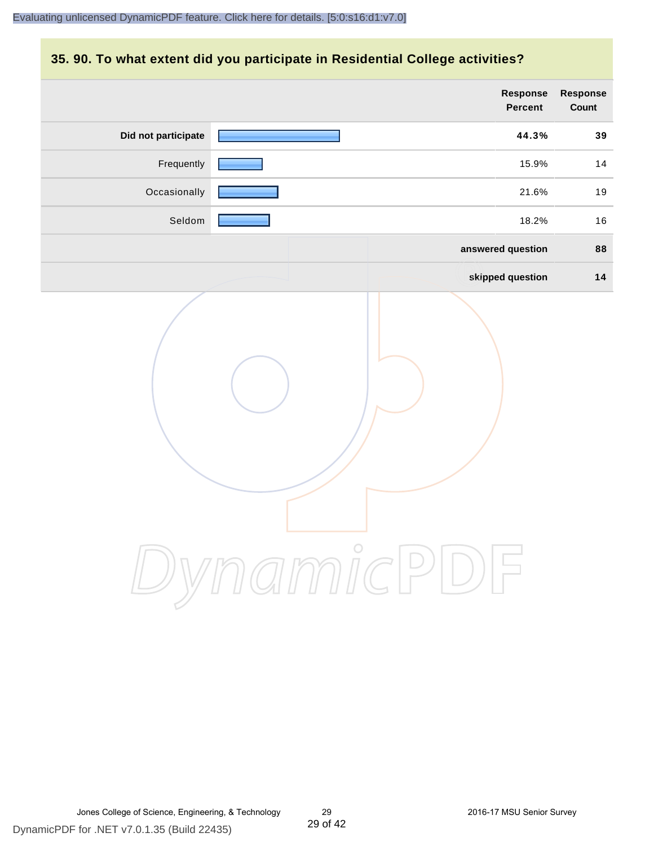#### **35. 90. To what extent did you participate in Residential College activities?**

|                     | Response<br>Percent | Response<br>Count |
|---------------------|---------------------|-------------------|
| Did not participate | 44.3%               | 39                |
| Frequently          | 15.9%               | 14                |
| Occasionally        | 21.6%               | 19                |
| Seldom              | 18.2%               | 16                |
|                     | answered question   | 88                |
|                     | skipped question    | 14                |
|                     | ynamicPD            |                   |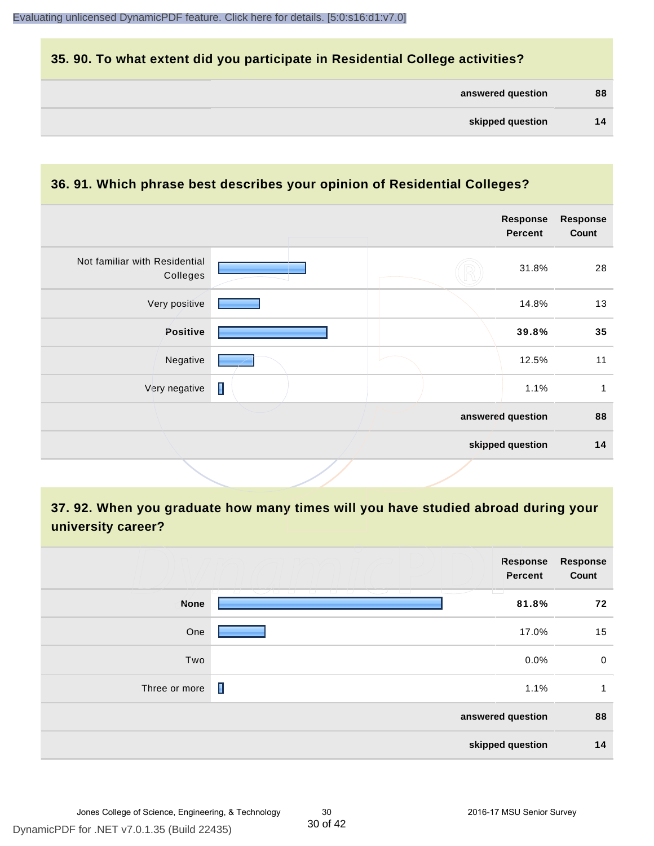#### **35. 90. To what extent did you participate in Residential College activities?**

| answered question | 88 |
|-------------------|----|
|-------------------|----|

### **36. 91. Which phrase best describes your opinion of Residential Colleges?**

|                | <b>Response</b><br><b>Percent</b> | <b>Response</b><br>Count              |
|----------------|-----------------------------------|---------------------------------------|
|                | 31.8%                             | 28                                    |
|                | 14.8%                             | 13                                    |
|                | 39.8%                             | 35                                    |
|                | 12.5%                             | 11                                    |
| $\blacksquare$ | 1.1%                              | 1                                     |
|                |                                   | 88                                    |
|                |                                   | 14                                    |
|                |                                   | answered question<br>skipped question |

# **37. 92. When you graduate how many times will you have studied abroad during your university career?**

|                  | Response<br>Percent                                               | <b>Response</b><br>Count |  |
|------------------|-------------------------------------------------------------------|--------------------------|--|
| <b>None</b>      | m<br>12 - 21 - CAS - 21 - 21<br>____<br>- 12 - 12 - 12 -<br>81.8% | 72                       |  |
| One              | 17.0%                                                             | 15                       |  |
| Two              | 0.0%                                                              | $\mathbf 0$              |  |
| Three or more    | П<br>1.1%                                                         | 1                        |  |
|                  | answered question                                                 | 88                       |  |
| skipped question |                                                                   |                          |  |

30 of 42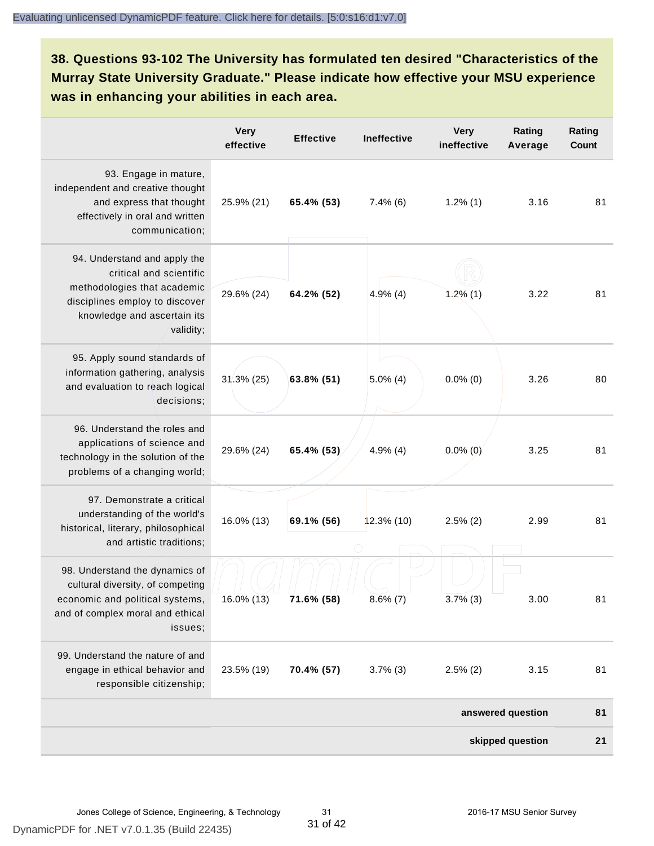# **38. Questions 93-102 The University has formulated ten desired "Characteristics of the Murray State University Graduate." Please indicate how effective your MSU experience was in enhancing your abilities in each area.**

|                                                                                                                                                                      | Very<br>effective | <b>Effective</b> | <b>Ineffective</b> | <b>Very</b><br>ineffective | Rating<br>Average | Rating<br><b>Count</b> |
|----------------------------------------------------------------------------------------------------------------------------------------------------------------------|-------------------|------------------|--------------------|----------------------------|-------------------|------------------------|
| 93. Engage in mature,<br>independent and creative thought<br>and express that thought<br>effectively in oral and written<br>communication;                           | 25.9% (21)        | 65.4% (53)       | $7.4\%$ (6)        | $1.2\%$ (1)                | 3.16              | 81                     |
| 94. Understand and apply the<br>critical and scientific<br>methodologies that academic<br>disciplines employ to discover<br>knowledge and ascertain its<br>validity; | 29.6% (24)        | 64.2% (52)       | 4.9%(4)            | 1.2%(1)                    | 3.22              | 81                     |
| 95. Apply sound standards of<br>information gathering, analysis<br>and evaluation to reach logical<br>decisions;                                                     | $31.3\%$ (25)     | 63.8% (51)       | $5.0\%$ (4)        | $0.0\%$ (0)                | 3.26              | 80                     |
| 96. Understand the roles and<br>applications of science and<br>technology in the solution of the<br>problems of a changing world;                                    | 29.6% (24)        | 65.4% (53)       | $4.9\%$ (4)        | $0.0\%$ (0)                | 3.25              | 81                     |
| 97. Demonstrate a critical<br>understanding of the world's<br>historical, literary, philosophical<br>and artistic traditions;                                        | 16.0% (13)        | 69.1% (56)       | $12.3\%$ (10)      | $2.5\%$ (2)                | 2.99              | 81                     |
| 98. Understand the dynamics of<br>cultural diversity, of competing<br>economic and political systems,<br>and of complex moral and ethical<br>issues;                 | 16.0% (13)        | 71.6% (58)       | $8.6\%$ (7)        | $3.7\%$ (3)                | 3.00              | 81                     |
| 99. Understand the nature of and<br>engage in ethical behavior and<br>responsible citizenship;                                                                       | 23.5% (19)        | 70.4% (57)       | $3.7\%$ (3)        | $2.5\%$ (2)                | 3.15              | 81                     |
|                                                                                                                                                                      |                   |                  |                    |                            | answered question | 81                     |
|                                                                                                                                                                      |                   |                  |                    |                            | skipped question  | 21                     |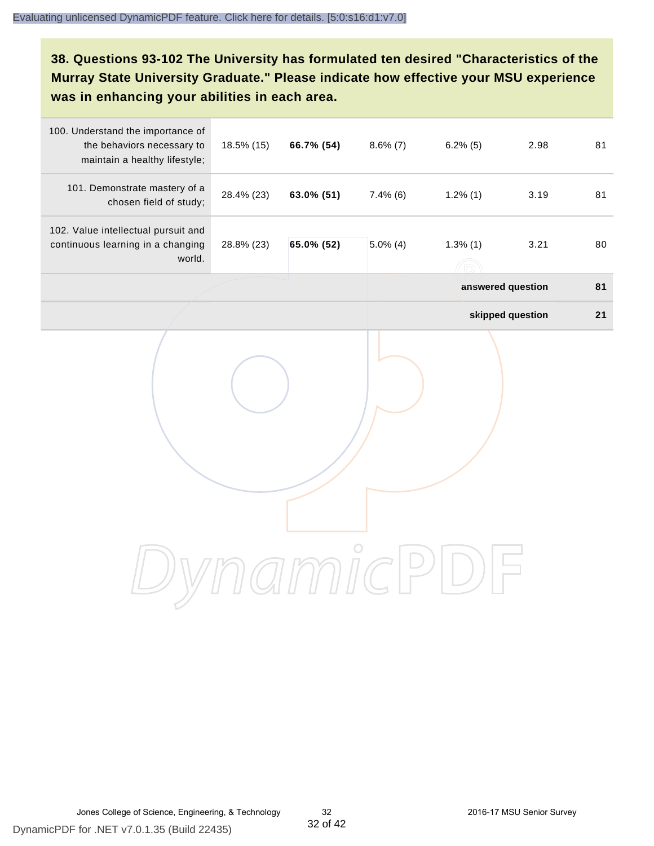# **38. Questions 93-102 The University has formulated ten desired "Characteristics of the Murray State University Graduate." Please indicate how effective your MSU experience was in enhancing your abilities in each area.**

| 100. Understand the importance of<br>the behaviors necessary to<br>maintain a healthy lifestyle; | 18.5% (15) | 66.7% (54) | $8.6\%$ (7) | $6.2\%$ (5) | 2.98              | 81 |
|--------------------------------------------------------------------------------------------------|------------|------------|-------------|-------------|-------------------|----|
| 101. Demonstrate mastery of a<br>chosen field of study;                                          | 28.4% (23) | 63.0% (51) | $7.4\%$ (6) | $1.2\%$ (1) | 3.19              | 81 |
| 102. Value intellectual pursuit and<br>continuous learning in a changing<br>world.               | 28.8% (23) | 65.0% (52) | $5.0\%$ (4) | $1.3\%$ (1) | 3.21              | 80 |
|                                                                                                  |            |            |             |             | answered question | 81 |
|                                                                                                  |            |            |             |             | skipped question  | 21 |
|                                                                                                  |            |            |             |             |                   |    |
|                                                                                                  |            |            |             |             |                   |    |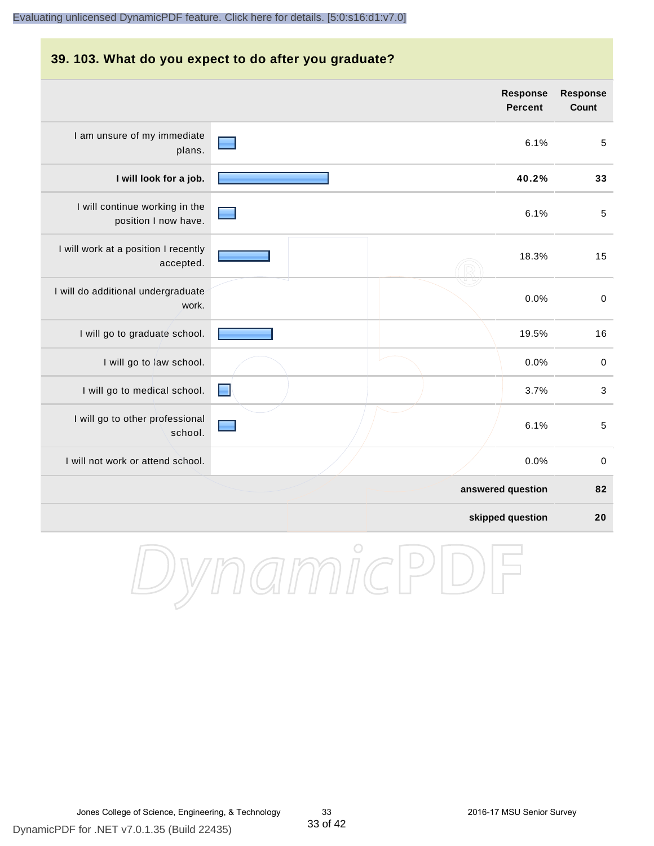#### **39. 103. What do you expect to do after you graduate?**

|                                                        |        | <b>Response</b><br><b>Percent</b> | <b>Response</b><br>Count |
|--------------------------------------------------------|--------|-----------------------------------|--------------------------|
| I am unsure of my immediate<br>plans.                  |        | 6.1%                              | 5                        |
| I will look for a job.                                 |        | 40.2%                             | 33                       |
| I will continue working in the<br>position I now have. |        | 6.1%                              | $\sqrt{5}$               |
| I will work at a position I recently<br>accepted.      |        | 18.3%                             | 15                       |
| I will do additional undergraduate<br>work.            |        | 0.0%                              | $\pmb{0}$                |
| I will go to graduate school.                          |        | 19.5%                             | 16                       |
| I will go to law school.                               |        | 0.0%                              | $\pmb{0}$                |
| I will go to medical school.                           | $\Box$ | 3.7%                              | 3                        |
| I will go to other professional<br>school.             |        | 6.1%                              | 5                        |
| I will not work or attend school.                      |        | 0.0%                              | $\pmb{0}$                |
|                                                        |        | answered question                 | 82                       |
|                                                        |        | skipped question                  | 20                       |

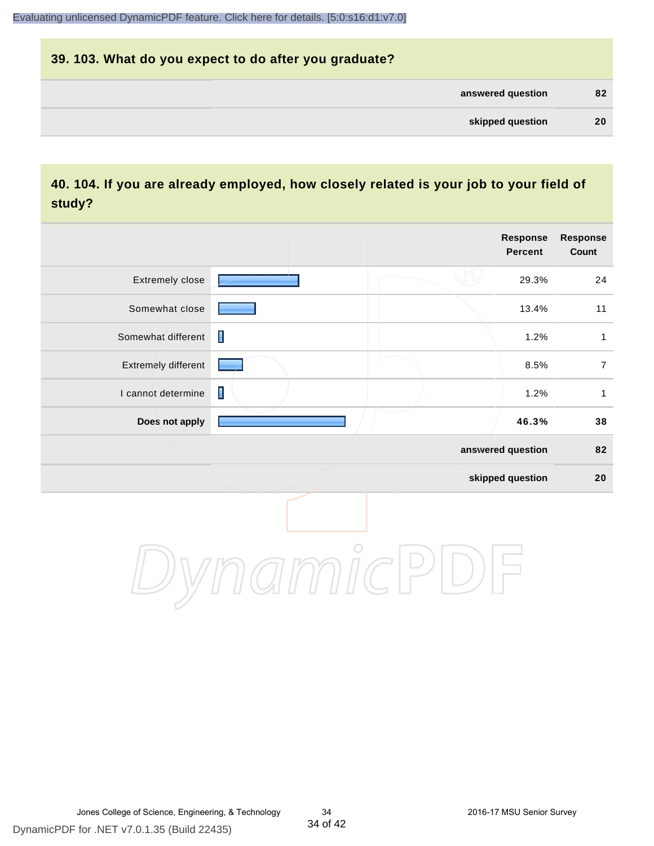# **39. 103. What do you expect to do after you graduate? answered question 82 skipped question 20**

### **40. 104. If you are already employed, how closely related is your job to your field of study?**

|                     |                | <b>Response</b><br><b>Percent</b> | <b>Response</b><br>Count |
|---------------------|----------------|-----------------------------------|--------------------------|
| Extremely close     |                | 29.3%                             | 24                       |
| Somewhat close      |                | 13.4%                             | 11                       |
| Somewhat different  | $\blacksquare$ | 1.2%                              | $\mathbf{1}$             |
| Extremely different |                | 8.5%                              | $\overline{7}$           |
| I cannot determine  | $\blacksquare$ | 1.2%                              | $\mathbf{1}$             |
| Does not apply      |                | 46.3%                             | 38                       |
|                     |                | answered question                 | 82                       |
|                     |                | skipped question                  | $20\,$                   |
|                     | $\bigcirc$     |                                   |                          |

DynamicPDF for .NET v7.0.1.35 (Build 22435)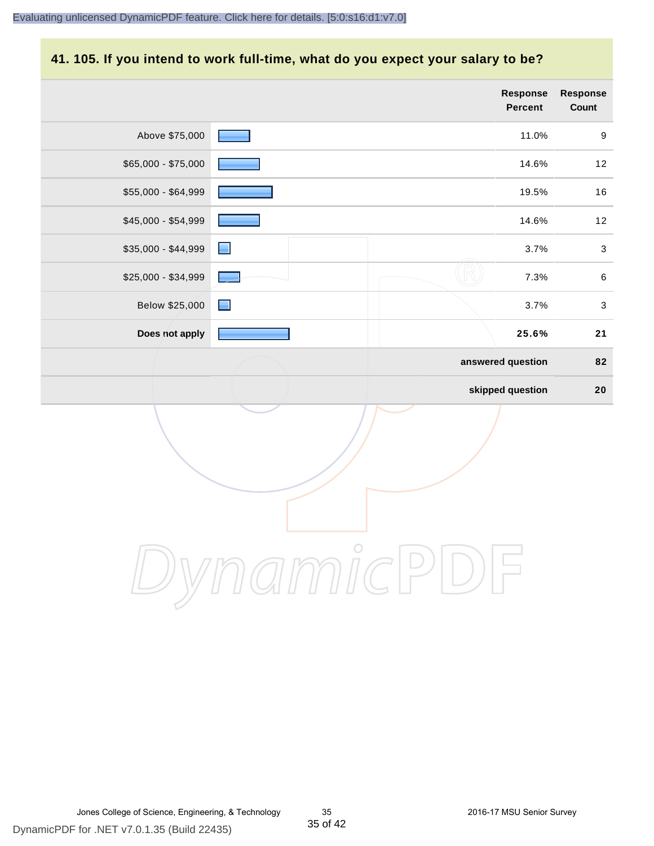#### **41. 105. If you intend to work full-time, what do you expect your salary to be?**

|                     |   | Response<br>Percent | Response<br>Count  |
|---------------------|---|---------------------|--------------------|
| Above \$75,000      |   | 11.0%               | $\boldsymbol{9}$   |
| \$65,000 - \$75,000 |   | 14.6%               | $12$               |
| \$55,000 - \$64,999 |   | 19.5%               | $16$               |
| $$45,000 - $54,999$ |   | 14.6%               | $12$               |
| \$35,000 - \$44,999 | Е |                     | 3.7%<br>$\sqrt{3}$ |
| \$25,000 - \$34,999 |   | 7.3%                | $\,6\,$            |
| Below \$25,000      | E |                     | $\sqrt{3}$<br>3.7% |
| Does not apply      |   | 25.6%               | 21                 |
|                     |   | answered question   | 82                 |
|                     |   | skipped question    | 20                 |
|                     |   |                     |                    |

DynamicPDF

Jones College of Science, Engineering, & Technology 35 2016-17 MSU Senior Survey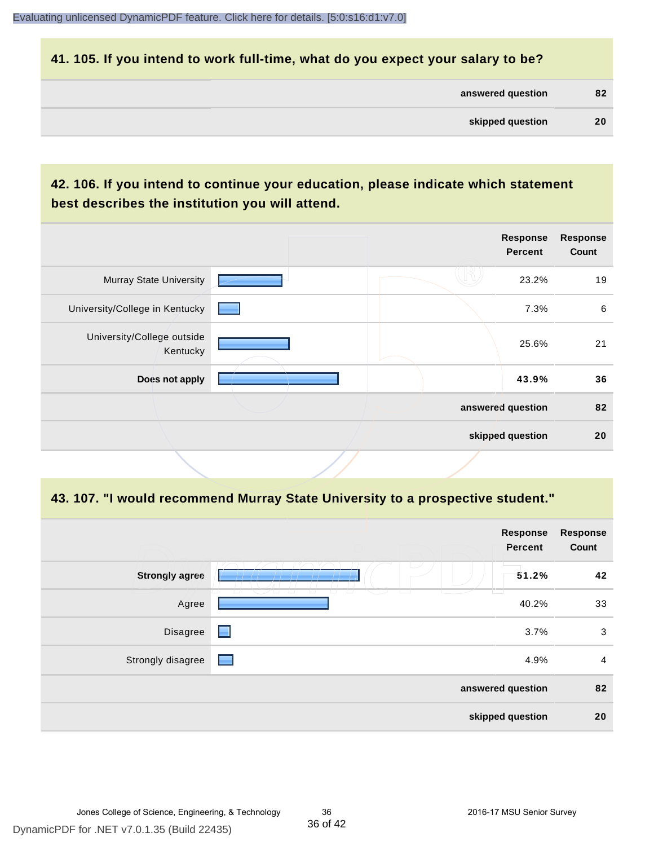#### **41. 105. If you intend to work full-time, what do you expect your salary to be?**

| answered question | 82 |
|-------------------|----|
|                   |    |

# **42. 106. If you intend to continue your education, please indicate which statement best describes the institution you will attend.**

|                                        |  | <b>Response</b><br><b>Percent</b> | <b>Response</b><br>Count |
|----------------------------------------|--|-----------------------------------|--------------------------|
| <b>Murray State University</b>         |  | 23.2%                             | 19                       |
| University/College in Kentucky         |  | 7.3%                              | 6                        |
| University/College outside<br>Kentucky |  | 25.6%                             | 21                       |
| Does not apply                         |  | 43.9%                             | 36                       |
|                                        |  | answered question                 | 82                       |
|                                        |  | skipped question                  | 20                       |

#### **43. 107. "I would recommend Murray State University to a prospective student."**

|                       |                                                                                          | <b>Response</b><br>Percent | <b>Response</b><br>Count |
|-----------------------|------------------------------------------------------------------------------------------|----------------------------|--------------------------|
| <b>Strongly agree</b> |                                                                                          | 51.2%                      | 42                       |
| Agree                 | $\sqrt{2}$<br>$\Box$<br>$\sqcup$<br>$\overline{\phantom{0}}$<br>$\overline{\phantom{0}}$ | 40.2%                      | 33                       |
| Disagree              | ◼                                                                                        | 3.7%                       | 3                        |
| Strongly disagree     | $\equiv$                                                                                 | 4.9%                       | $\overline{a}$           |
|                       |                                                                                          | answered question          | 82                       |
|                       |                                                                                          | skipped question           | 20                       |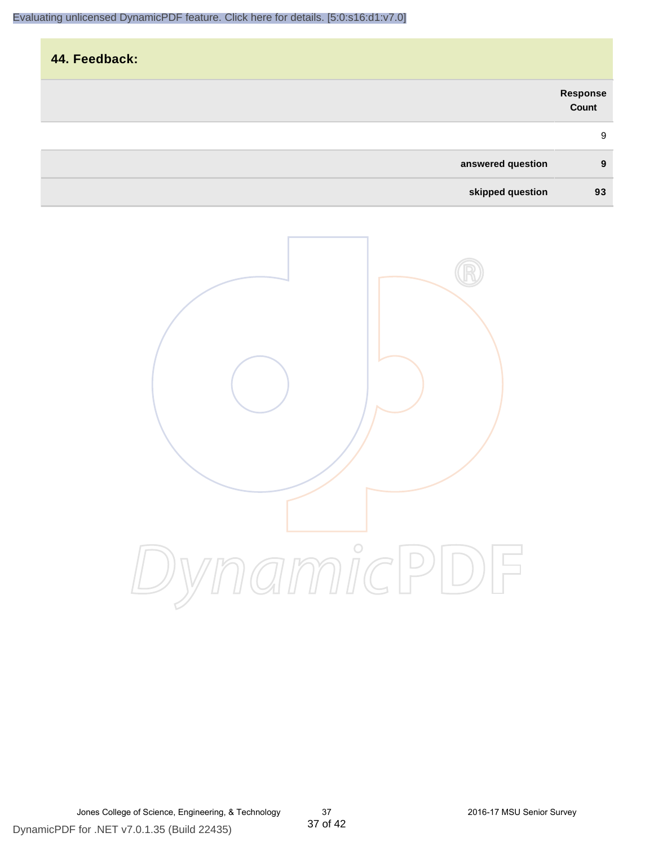| 44. Feedback: |                   |                   |
|---------------|-------------------|-------------------|
|               |                   |                   |
|               |                   | Response<br>Count |
|               |                   | 9                 |
|               | answered question | 9                 |
|               | skipped question  | 93                |

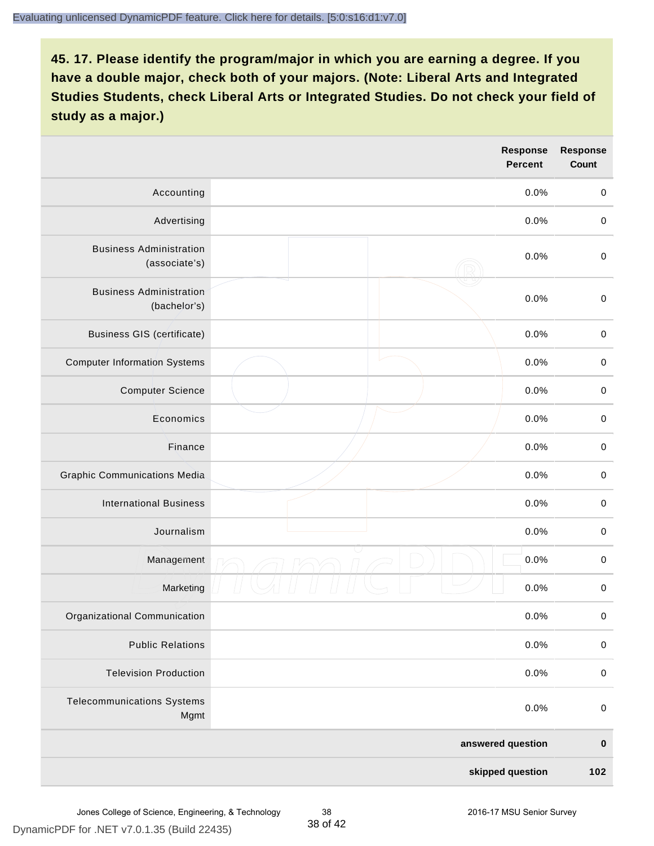|                                                 | <b>Response</b><br><b>Percent</b> | <b>Response</b><br><b>Count</b> |
|-------------------------------------------------|-----------------------------------|---------------------------------|
| Accounting                                      | 0.0%                              | $\mathbf 0$                     |
| Advertising                                     | 0.0%                              | $\pmb{0}$                       |
| <b>Business Administration</b><br>(associate's) | 0.0%                              | $\pmb{0}$                       |
| <b>Business Administration</b><br>(bachelor's)  | 0.0%                              | $\pmb{0}$                       |
| <b>Business GIS (certificate)</b>               | 0.0%                              | $\mathbf 0$                     |
| <b>Computer Information Systems</b>             | 0.0%                              | $\,0\,$                         |
| <b>Computer Science</b>                         | 0.0%                              | $\mathbf 0$                     |
| Economics                                       | 0.0%                              | $\pmb{0}$                       |
| Finance                                         | 0.0%                              | $\pmb{0}$                       |
| <b>Graphic Communications Media</b>             | 0.0%                              | $\mathbf 0$                     |
| <b>International Business</b>                   | 0.0%                              | $\pmb{0}$                       |
| Journalism                                      | 0.0%                              | $\mathbf 0$                     |
| Management                                      | 0.0%                              | $\pmb{0}$                       |
| Marketing                                       | 0.0%                              | $\,0\,$                         |
| Organizational Communication                    | 0.0%                              | $\pmb{0}$                       |
| <b>Public Relations</b>                         | 0.0%                              | $\mathbf 0$                     |
| <b>Television Production</b>                    | 0.0%                              | $\pmb{0}$                       |
| <b>Telecommunications Systems</b><br>Mgmt       | 0.0%                              | $\mathbf 0$                     |
|                                                 | answered question                 | $\pmb{0}$                       |
|                                                 | skipped question                  | 102                             |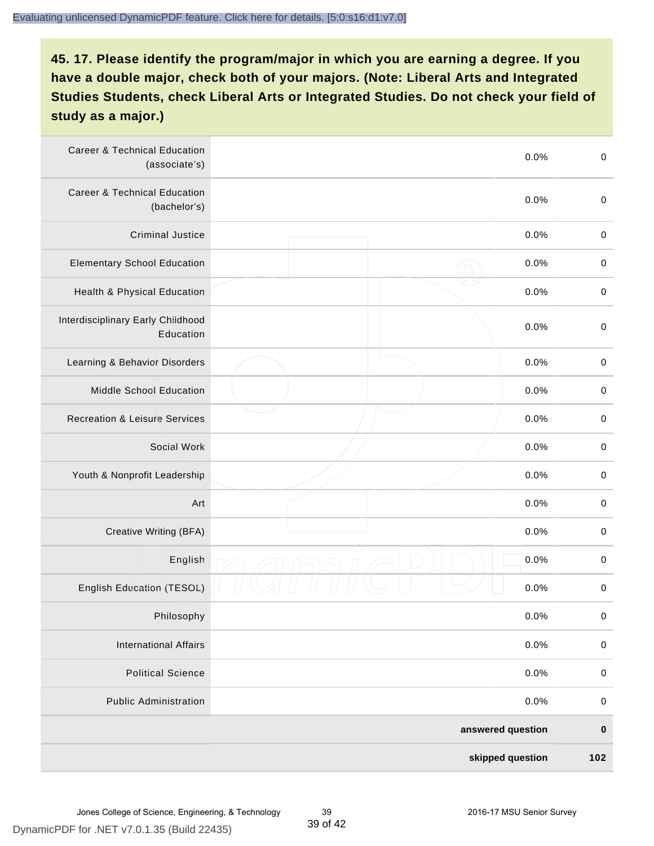| <b>Career &amp; Technical Education</b><br>(associate's) | 0.0%              | $\pmb{0}$   |
|----------------------------------------------------------|-------------------|-------------|
| <b>Career &amp; Technical Education</b><br>(bachelor's)  | 0.0%              | $\mathbf 0$ |
| <b>Criminal Justice</b>                                  | 0.0%              | $\pmb{0}$   |
| <b>Elementary School Education</b>                       | 0.0%              | $\,0\,$     |
| Health & Physical Education                              | 0.0%              | $\,0\,$     |
| Interdisciplinary Early Childhood<br>Education           | 0.0%              | $\pmb{0}$   |
| Learning & Behavior Disorders                            | 0.0%              | $\,0\,$     |
| Middle School Education                                  | 0.0%              | $\mathbf 0$ |
| <b>Recreation &amp; Leisure Services</b>                 | 0.0%              | $\mathbf 0$ |
| Social Work                                              | 0.0%              | $\mathbf 0$ |
| Youth & Nonprofit Leadership                             | 0.0%              | $\mathbf 0$ |
| Art                                                      | 0.0%              | $\,0\,$     |
| Creative Writing (BFA)                                   | 0.0%              | $\pmb{0}$   |
| English                                                  | 0.0%              | $\pmb{0}$   |
| English Education (TESOL)                                | 0.0%              | $\pmb{0}$   |
| Philosophy                                               | 0.0%              | 0           |
| <b>International Affairs</b>                             | 0.0%              | $\pmb{0}$   |
| <b>Political Science</b>                                 | 0.0%              | $\mathbf 0$ |
| <b>Public Administration</b>                             | 0.0%              | $\mathbf 0$ |
|                                                          | answered question | $\pmb{0}$   |
|                                                          | skipped question  | 102         |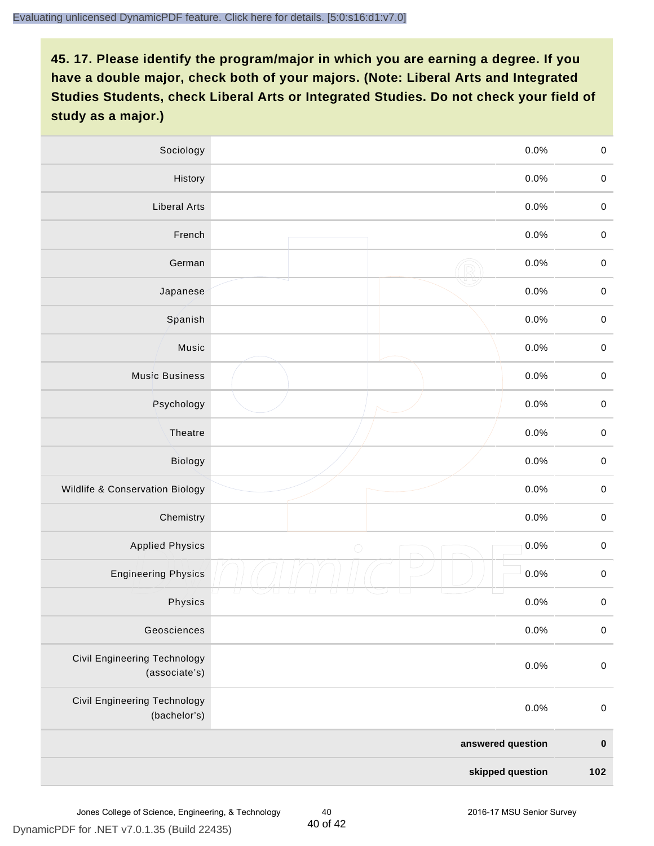| Sociology                                            |                   | 0.0%    | $\mathbf 0$ |
|------------------------------------------------------|-------------------|---------|-------------|
| History                                              |                   | $0.0\%$ | $\mathbf 0$ |
| <b>Liberal Arts</b>                                  |                   | 0.0%    | $\mathbf 0$ |
| French                                               |                   | 0.0%    | $\pmb{0}$   |
| German                                               |                   | 0.0%    | $\mathbf 0$ |
| Japanese                                             |                   | 0.0%    | $\mathbf 0$ |
| Spanish                                              |                   | 0.0%    | $\mathbf 0$ |
| Music                                                |                   | 0.0%    | $\mathbf 0$ |
| <b>Music Business</b>                                |                   | 0.0%    | $\pmb{0}$   |
| Psychology                                           |                   | 0.0%    | $\mathbf 0$ |
| Theatre                                              |                   | 0.0%    | $\mathbf 0$ |
| Biology                                              |                   | 0.0%    | $\mathbf 0$ |
| Wildlife & Conservation Biology                      |                   | 0.0%    | $\mathbf 0$ |
| Chemistry                                            |                   | 0.0%    | $\pmb{0}$   |
| <b>Applied Physics</b>                               | $\bigcirc$        | 0.0%    | $\mathbf 0$ |
| <b>Engineering Physics</b>                           |                   | 0.0%    | $\mathbf 0$ |
| Physics                                              |                   | 0.0%    | $\mathbf 0$ |
| Geosciences                                          |                   | 0.0%    | $\mathbf 0$ |
| <b>Civil Engineering Technology</b><br>(associate's) |                   | 0.0%    | $\pmb{0}$   |
| Civil Engineering Technology<br>(bachelor's)         |                   | 0.0%    | $\pmb{0}$   |
|                                                      | answered question |         | $\pmb{0}$   |
|                                                      | skipped question  |         | 102         |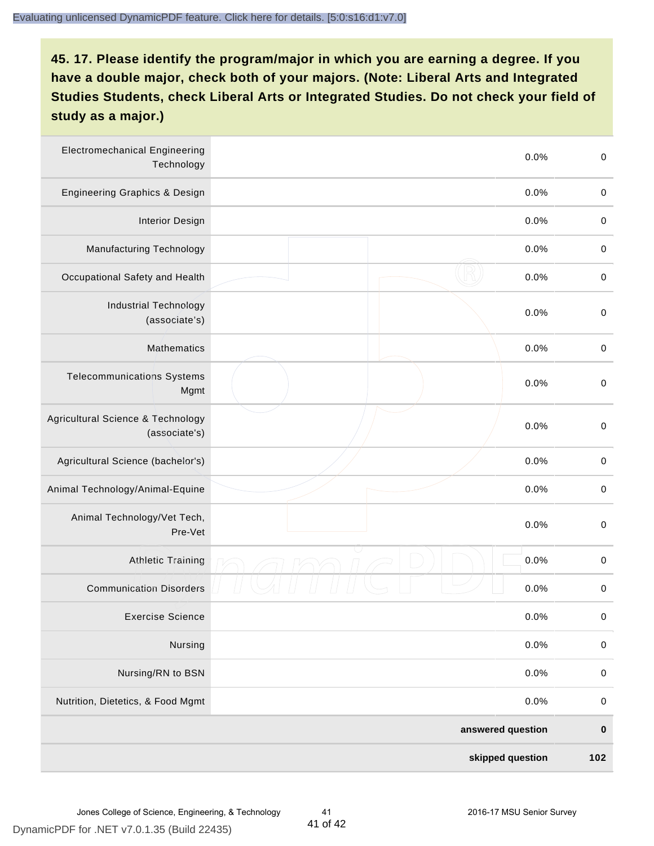| <b>Electromechanical Engineering</b><br>Technology | 0.0%              | $\mathbf 0$ |
|----------------------------------------------------|-------------------|-------------|
| <b>Engineering Graphics &amp; Design</b>           | 0.0%              | $\mathbf 0$ |
| <b>Interior Design</b>                             | 0.0%              | $\,0\,$     |
| Manufacturing Technology                           | 0.0%              | $\,0\,$     |
| Occupational Safety and Health                     | 0.0%              | $\pmb{0}$   |
| <b>Industrial Technology</b><br>(associate's)      | 0.0%              | $\,0\,$     |
| <b>Mathematics</b>                                 | 0.0%              | $\,0\,$     |
| <b>Telecommunications Systems</b><br>Mgmt          | 0.0%              | $\,0\,$     |
| Agricultural Science & Technology<br>(associate's) | 0.0%              | $\mathbf 0$ |
| Agricultural Science (bachelor's)                  | 0.0%              | $\mathbf 0$ |
| Animal Technology/Animal-Equine                    | 0.0%              | $\,0\,$     |
| Animal Technology/Vet Tech,<br>Pre-Vet             | 0.0%              | $\,0\,$     |
| <b>Athletic Training</b>                           | 0.0%              | $\pmb{0}$   |
| <b>Communication Disorders</b>                     | 0.0%              | $\pmb{0}$   |
| <b>Exercise Science</b>                            | 0.0%              | $\pmb{0}$   |
| Nursing                                            | 0.0%              | $\mathbf 0$ |
| Nursing/RN to BSN                                  | 0.0%              | $\pmb{0}$   |
| Nutrition, Dietetics, & Food Mgmt                  | 0.0%              | $\mathbf 0$ |
|                                                    | answered question | $\pmb{0}$   |
|                                                    | skipped question  | 102         |